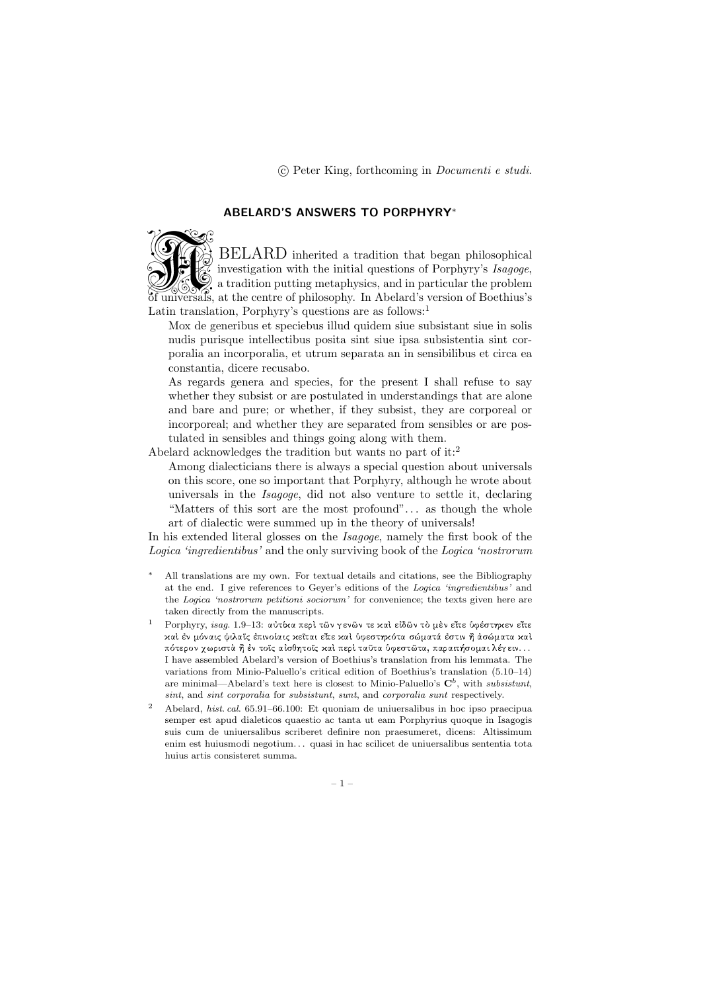# ABELARD'S ANSWERS TO PORPHYRY<sup>∗</sup>



BELARD inherited a tradition that began philosophical investigation with the initial questions of Porphyry's Isagoge, a tradition putting metaphysics, and in particular the problem of universals, at the centre of philosophy. In Abelard's version of Boethius's Latin translation, Porphyry's questions are as follows:<sup>1</sup>

Mox de generibus et speciebus illud quidem siue subsistant siue in solis nudis purisque intellectibus posita sint siue ipsa subsistentia sint corporalia an incorporalia, et utrum separata an in sensibilibus et circa ea constantia, dicere recusabo.

As regards genera and species, for the present I shall refuse to say whether they subsist or are postulated in understandings that are alone and bare and pure; or whether, if they subsist, they are corporeal or incorporeal; and whether they are separated from sensibles or are postulated in sensibles and things going along with them.

Abelard acknowledges the tradition but wants no part of it:<sup>2</sup>

Among dialecticians there is always a special question about universals on this score, one so important that Porphyry, although he wrote about universals in the Isagoge, did not also venture to settle it, declaring "Matters of this sort are the most profound". . . as though the whole art of dialectic were summed up in the theory of universals!

In his extended literal glosses on the *Isagoge*, namely the first book of the Logica 'ingredientibus' and the only surviving book of the Logica 'nostrorum

- All translations are my own. For textual details and citations, see the Bibliography at the end. I give references to Geyer's editions of the Logica 'ingredientibus' and the Logica 'nostrorum petitioni sociorum' for convenience; the texts given here are taken directly from the manuscripts.
- Porphyry, isag. 1.9–13: αύτίκα περὶ τῶν γενῶν τε καὶ εἰδῶν τὸ μὲν εἴτε ὑφέστηκεν εἴτε kal έν μόναις ψιλαΐς έπινοίαις κεΐται εἴτε καὶ ὑφεστηκότα σώματά έστιν ῆ ἀσώματα καὶ πότερον χωριστὰ ἢ ἐν τοἴς αἰσθητοῖς καὶ περὶ ταῦτα ὑφεστῶτα, παραιτήσομαι λέγειν. . . I have assembled Abelard's version of Boethius's translation from his lemmata. The variations from Minio-Paluello's critical edition of Boethius's translation (5.10–14) are minimal—Abelard's text here is closest to Minio-Paluello's  $\mathbf{C}^b$ , with subsistunt, sint, and sint corporalia for subsistunt, sunt, and corporalia sunt respectively.
- <sup>2</sup> Abelard, hist. cal. 65.91–66.100: Et quoniam de uniuersalibus in hoc ipso praecipua semper est apud dialeticos quaestio ac tanta ut eam Porphyrius quoque in Isagogis suis cum de uniuersalibus scriberet definire non praesumeret, dicens: Altissimum enim est huiusmodi negotium. . . quasi in hac scilicet de uniuersalibus sententia tota huius artis consisteret summa.

– 1 –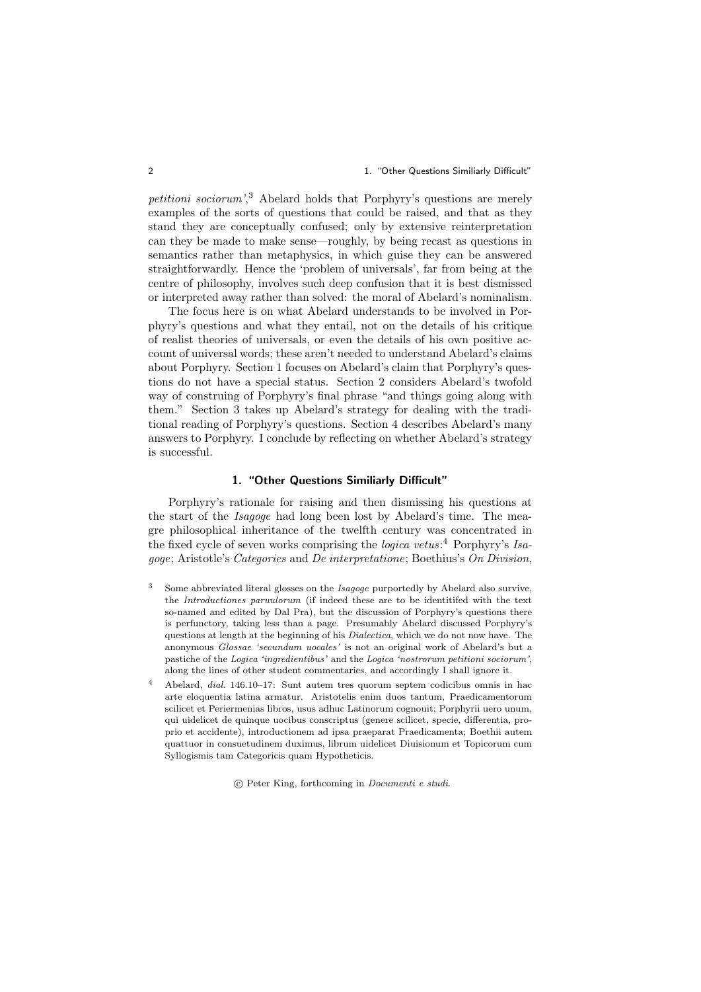2 1. "Other Questions Similiarly Difficult"

petitioni sociorum<sup>'</sup>,<sup>3</sup> Abelard holds that Porphyry's questions are merely examples of the sorts of questions that could be raised, and that as they stand they are conceptually confused; only by extensive reinterpretation can they be made to make sense—roughly, by being recast as questions in semantics rather than metaphysics, in which guise they can be answered straightforwardly. Hence the 'problem of universals', far from being at the centre of philosophy, involves such deep confusion that it is best dismissed or interpreted away rather than solved: the moral of Abelard's nominalism.

The focus here is on what Abelard understands to be involved in Porphyry's questions and what they entail, not on the details of his critique of realist theories of universals, or even the details of his own positive account of universal words; these aren't needed to understand Abelard's claims about Porphyry. Section 1 focuses on Abelard's claim that Porphyry's questions do not have a special status. Section 2 considers Abelard's twofold way of construing of Porphyry's final phrase "and things going along with them." Section 3 takes up Abelard's strategy for dealing with the traditional reading of Porphyry's questions. Section 4 describes Abelard's many answers to Porphyry. I conclude by reflecting on whether Abelard's strategy is successful.

### 1. "Other Questions Similiarly Difficult"

Porphyry's rationale for raising and then dismissing his questions at the start of the Isagoge had long been lost by Abelard's time. The meagre philosophical inheritance of the twelfth century was concentrated in the fixed cycle of seven works comprising the *logica vetus*:<sup>4</sup> Porphyry's Isagoge; Aristotle's Categories and De interpretatione; Boethius's On Division,

- <sup>3</sup> Some abbreviated literal glosses on the *Isagoge* purportedly by Abelard also survive, the Introductiones paruulorum (if indeed these are to be identitifed with the text so-named and edited by Dal Pra), but the discussion of Porphyry's questions there is perfunctory, taking less than a page. Presumably Abelard discussed Porphyry's questions at length at the beginning of his Dialectica, which we do not now have. The anonymous Glossae 'secundum uocales' is not an original work of Abelard's but a pastiche of the Logica 'ingredientibus' and the Logica 'nostrorum petitioni sociorum', along the lines of other student commentaries, and accordingly I shall ignore it.
- <sup>4</sup> Abelard, dial. 146.10–17: Sunt autem tres quorum septem codicibus omnis in hac arte eloquentia latina armatur. Aristotelis enim duos tantum, Praedicamentorum scilicet et Periermenias libros, usus adhuc Latinorum cognouit; Porphyrii uero unum, qui uidelicet de quinque uocibus conscriptus (genere scilicet, specie, differentia, proprio et accidente), introductionem ad ipsa praeparat Praedicamenta; Boethii autem quattuor in consuetudinem duximus, librum uidelicet Diuisionum et Topicorum cum Syllogismis tam Categoricis quam Hypotheticis.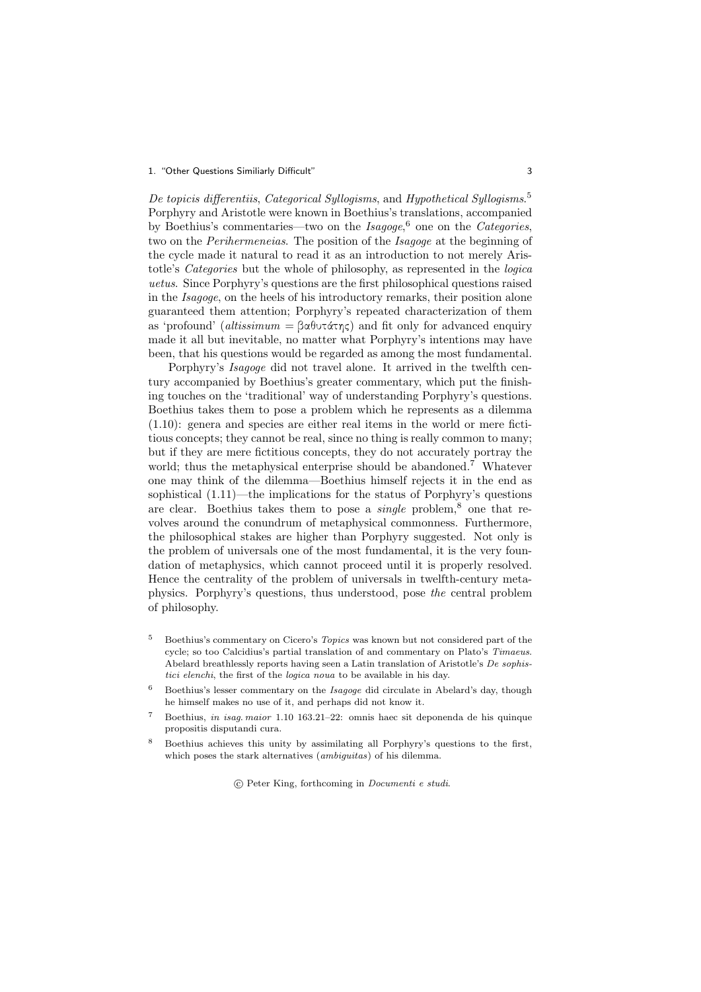#### 1. "Other Questions Similiarly Difficult" 3

De topicis differentiis, Categorical Syllogisms, and Hypothetical Syllogisms.<sup>5</sup> Porphyry and Aristotle were known in Boethius's translations, accompanied by Boethius's commentaries—two on the  $Isagoge$ <sup>6</sup> one on the Categories, two on the Perihermeneias. The position of the Isagoge at the beginning of the cycle made it natural to read it as an introduction to not merely Aristotle's Categories but the whole of philosophy, as represented in the logica uetus. Since Porphyry's questions are the first philosophical questions raised in the Isagoge, on the heels of his introductory remarks, their position alone guaranteed them attention; Porphyry's repeated characterization of them as 'profound' (altissimum =  $\beta \alpha \theta \nu \tau \alpha \tau \gamma \zeta$ ) and fit only for advanced enquiry made it all but inevitable, no matter what Porphyry's intentions may have been, that his questions would be regarded as among the most fundamental.

Porphyry's Isagoge did not travel alone. It arrived in the twelfth century accompanied by Boethius's greater commentary, which put the finishing touches on the 'traditional' way of understanding Porphyry's questions. Boethius takes them to pose a problem which he represents as a dilemma (1.10): genera and species are either real items in the world or mere fictitious concepts; they cannot be real, since no thing is really common to many; but if they are mere fictitious concepts, they do not accurately portray the world: thus the metaphysical enterprise should be abandoned.<sup>7</sup> Whatever one may think of the dilemma—Boethius himself rejects it in the end as sophistical (1.11)—the implications for the status of Porphyry's questions are clear. Boethius takes them to pose a *single* problem,<sup>8</sup> one that revolves around the conundrum of metaphysical commonness. Furthermore, the philosophical stakes are higher than Porphyry suggested. Not only is the problem of universals one of the most fundamental, it is the very foundation of metaphysics, which cannot proceed until it is properly resolved. Hence the centrality of the problem of universals in twelfth-century metaphysics. Porphyry's questions, thus understood, pose the central problem of philosophy.

- <sup>5</sup> Boethius's commentary on Cicero's Topics was known but not considered part of the cycle; so too Calcidius's partial translation of and commentary on Plato's Timaeus. Abelard breathlessly reports having seen a Latin translation of Aristotle's De sophistici elenchi, the first of the logica noua to be available in his day.
- <sup>6</sup> Boethius's lesser commentary on the Isagoge did circulate in Abelard's day, though he himself makes no use of it, and perhaps did not know it.
- <sup>7</sup> Boethius, *in isag. maior* 1.10 163.21–22: omnis haec sit deponenda de his quinque propositis disputandi cura.
- <sup>8</sup> Boethius achieves this unity by assimilating all Porphyry's questions to the first, which poses the stark alternatives (*ambiguitas*) of his dilemma.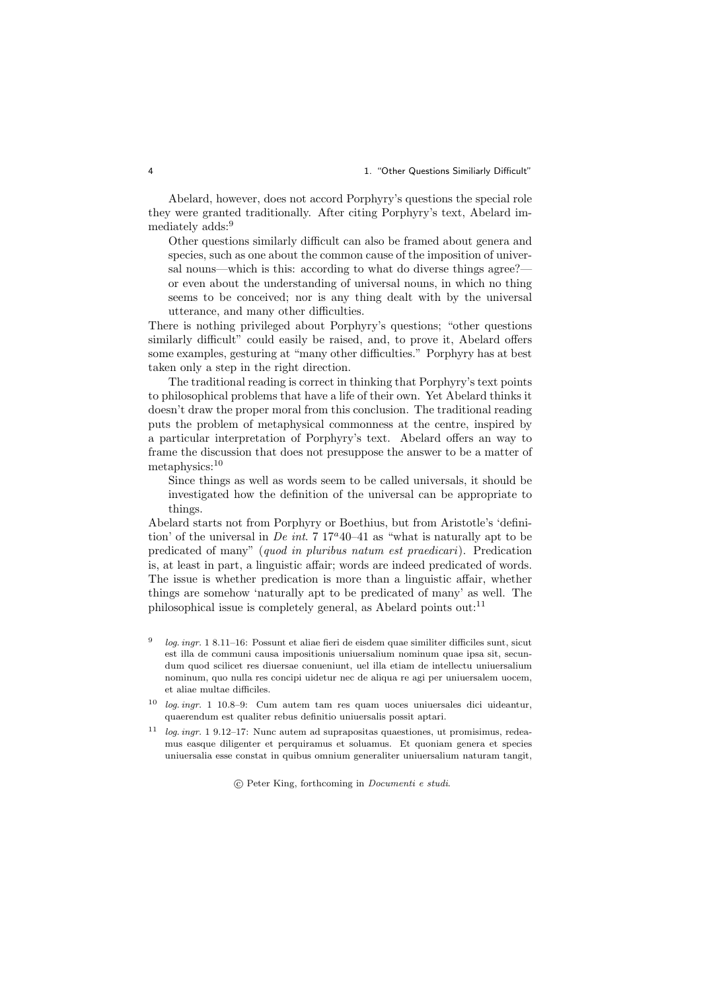#### 4 1. "Other Questions Similiarly Difficult"

Abelard, however, does not accord Porphyry's questions the special role they were granted traditionally. After citing Porphyry's text, Abelard immediately adds:<sup>9</sup>

Other questions similarly difficult can also be framed about genera and species, such as one about the common cause of the imposition of universal nouns—which is this: according to what do diverse things agree? or even about the understanding of universal nouns, in which no thing seems to be conceived; nor is any thing dealt with by the universal utterance, and many other difficulties.

There is nothing privileged about Porphyry's questions; "other questions similarly difficult" could easily be raised, and, to prove it, Abelard offers some examples, gesturing at "many other difficulties." Porphyry has at best taken only a step in the right direction.

The traditional reading is correct in thinking that Porphyry's text points to philosophical problems that have a life of their own. Yet Abelard thinks it doesn't draw the proper moral from this conclusion. The traditional reading puts the problem of metaphysical commonness at the centre, inspired by a particular interpretation of Porphyry's text. Abelard offers an way to frame the discussion that does not presuppose the answer to be a matter of metaphysics:<sup>10</sup>

Since things as well as words seem to be called universals, it should be investigated how the definition of the universal can be appropriate to things.

Abelard starts not from Porphyry or Boethius, but from Aristotle's 'definition' of the universal in De int. 7  $17^{\circ}40-41$  as "what is naturally apt to be predicated of many" (quod in pluribus natum est praedicari). Predication is, at least in part, a linguistic affair; words are indeed predicated of words. The issue is whether predication is more than a linguistic affair, whether things are somehow 'naturally apt to be predicated of many' as well. The philosophical issue is completely general, as Abelard points out:<sup>11</sup>

- 9 log. ingr. 1 8.11–16: Possunt et aliae fieri de eisdem quae similiter difficiles sunt, sicut est illa de communi causa impositionis uniuersalium nominum quae ipsa sit, secundum quod scilicet res diuersae conueniunt, uel illa etiam de intellectu uniuersalium nominum, quo nulla res concipi uidetur nec de aliqua re agi per uniuersalem uocem, et aliae multae difficiles.
- <sup>10</sup> log. ingr. 1 10.8–9: Cum autem tam res quam uoces uniuersales dici uideantur, quaerendum est qualiter rebus definitio uniuersalis possit aptari.
- <sup>11</sup> log. ingr. 1 9.12–17: Nunc autem ad suprapositas quaestiones, ut promisimus, redeamus easque diligenter et perquiramus et soluamus. Et quoniam genera et species uniuersalia esse constat in quibus omnium generaliter uniuersalium naturam tangit,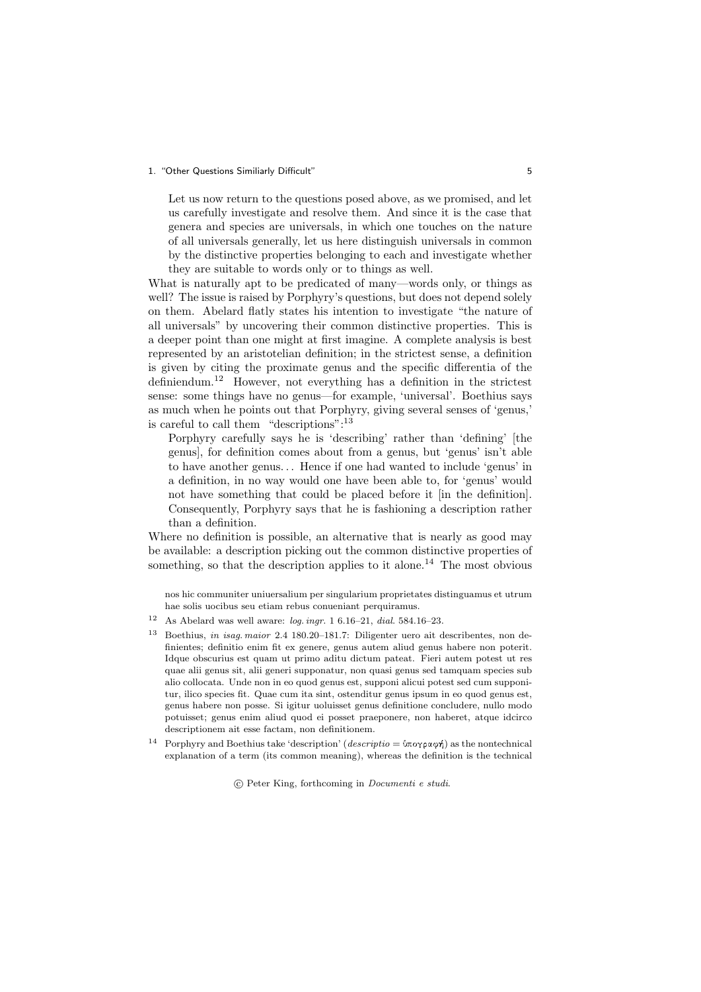#### 1. "Other Questions Similiarly Difficult" 5

Let us now return to the questions posed above, as we promised, and let us carefully investigate and resolve them. And since it is the case that genera and species are universals, in which one touches on the nature of all universals generally, let us here distinguish universals in common by the distinctive properties belonging to each and investigate whether they are suitable to words only or to things as well.

What is naturally apt to be predicated of many—words only, or things as well? The issue is raised by Porphyry's questions, but does not depend solely on them. Abelard flatly states his intention to investigate "the nature of all universals" by uncovering their common distinctive properties. This is a deeper point than one might at first imagine. A complete analysis is best represented by an aristotelian definition; in the strictest sense, a definition is given by citing the proximate genus and the specific differentia of the definiendum.<sup>12</sup> However, not everything has a definition in the strictest sense: some things have no genus—for example, 'universal'. Boethius says as much when he points out that Porphyry, giving several senses of 'genus,' is careful to call them "descriptions":  $^{13}$ 

Porphyry carefully says he is 'describing' rather than 'defining' [the genus], for definition comes about from a genus, but 'genus' isn't able to have another genus. . . Hence if one had wanted to include 'genus' in a definition, in no way would one have been able to, for 'genus' would not have something that could be placed before it [in the definition]. Consequently, Porphyry says that he is fashioning a description rather than a definition.

Where no definition is possible, an alternative that is nearly as good may be available: a description picking out the common distinctive properties of something, so that the description applies to it alone.<sup>14</sup> The most obvious

nos hic communiter uniuersalium per singularium proprietates distinguamus et utrum hae solis uocibus seu etiam rebus conueniant perquiramus.

- <sup>12</sup> As Abelard was well aware: *log. ingr.* 1 6.16–21, *dial.* 584.16–23.
- <sup>13</sup> Boethius, *in isag. maior* 2.4 180.20–181.7: Diligenter uero ait describentes, non definientes; definitio enim fit ex genere, genus autem aliud genus habere non poterit. Idque obscurius est quam ut primo aditu dictum pateat. Fieri autem potest ut res quae alii genus sit, alii generi supponatur, non quasi genus sed tamquam species sub alio collocata. Unde non in eo quod genus est, supponi alicui potest sed cum supponitur, ilico species fit. Quae cum ita sint, ostenditur genus ipsum in eo quod genus est, genus habere non posse. Si igitur uoluisset genus definitione concludere, nullo modo potuisset; genus enim aliud quod ei posset praeponere, non haberet, atque idcirco descriptionem ait esse factam, non definitionem.
- <sup>14</sup> Porphyry and Boethius take 'description' (descriptio =  $\phi \pi \circ \phi \circ \phi$ ) as the nontechnical explanation of a term (its common meaning), whereas the definition is the technical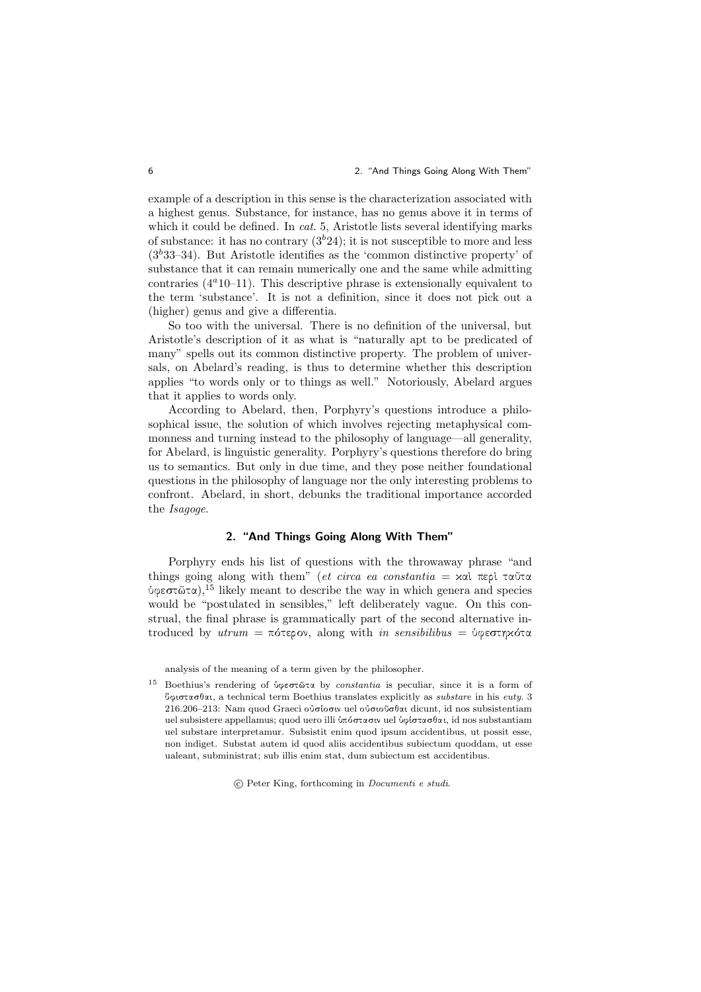#### 6 2. "And Things Going Along With Them"

example of a description in this sense is the characterization associated with a highest genus. Substance, for instance, has no genus above it in terms of which it could be defined. In *cat.* 5, Aristotle lists several identifying marks of substance: it has no contrary  $(3<sup>b</sup>24)$ ; it is not susceptible to more and less  $(3<sup>b</sup>33-34)$ . But Aristotle identifies as the 'common distinctive property' of substance that it can remain numerically one and the same while admitting contraries  $(4^a 10^{-1})$ . This descriptive phrase is extensionally equivalent to the term 'substance'. It is not a definition, since it does not pick out a (higher) genus and give a differentia.

So too with the universal. There is no definition of the universal, but Aristotle's description of it as what is "naturally apt to be predicated of many" spells out its common distinctive property. The problem of universals, on Abelard's reading, is thus to determine whether this description applies "to words only or to things as well." Notoriously, Abelard argues that it applies to words only.

According to Abelard, then, Porphyry's questions introduce a philosophical issue, the solution of which involves rejecting metaphysical commonness and turning instead to the philosophy of language—all generality, for Abelard, is linguistic generality. Porphyry's questions therefore do bring us to semantics. But only in due time, and they pose neither foundational questions in the philosophy of language nor the only interesting problems to confront. Abelard, in short, debunks the traditional importance accorded the Isagoge.

## 2. "And Things Going Along With Them"

Porphyry ends his list of questions with the throwaway phrase "and things going along with them" (et circa ea constantia =  $x\alpha$ ) περὶ ταῦτα ύφεστῶτα),<sup>15</sup> likely meant to describe the way in which genera and species would be "postulated in sensibles," left deliberately vague. On this construal, the final phrase is grammatically part of the second alternative introduced by utrum = πότερον, along with in sensibilibus = ύφεστηκότα

analysis of the meaning of a term given by the philosopher.

<sup>&</sup>lt;sup>15</sup> Boethius's rendering of *ύφεστ*ῶτα by *constantia* is peculiar, since it is a form of  $\emptyset$ φιστασθαι, a technical term Boethius translates explicitly as *substare* in his euty. 3 216.206–213: Nam quod Graeci ούσίοσιν uel ούσιοῦσθαι dicunt, id nos subsistentiam uel subsistere appellamus; quod uero illi *ύπόστασι*ν uel *ύφίστασθαι*, id nos substantiam uel substare interpretamur. Subsistit enim quod ipsum accidentibus, ut possit esse, non indiget. Substat autem id quod aliis accidentibus subiectum quoddam, ut esse ualeant, subministrat; sub illis enim stat, dum subiectum est accidentibus.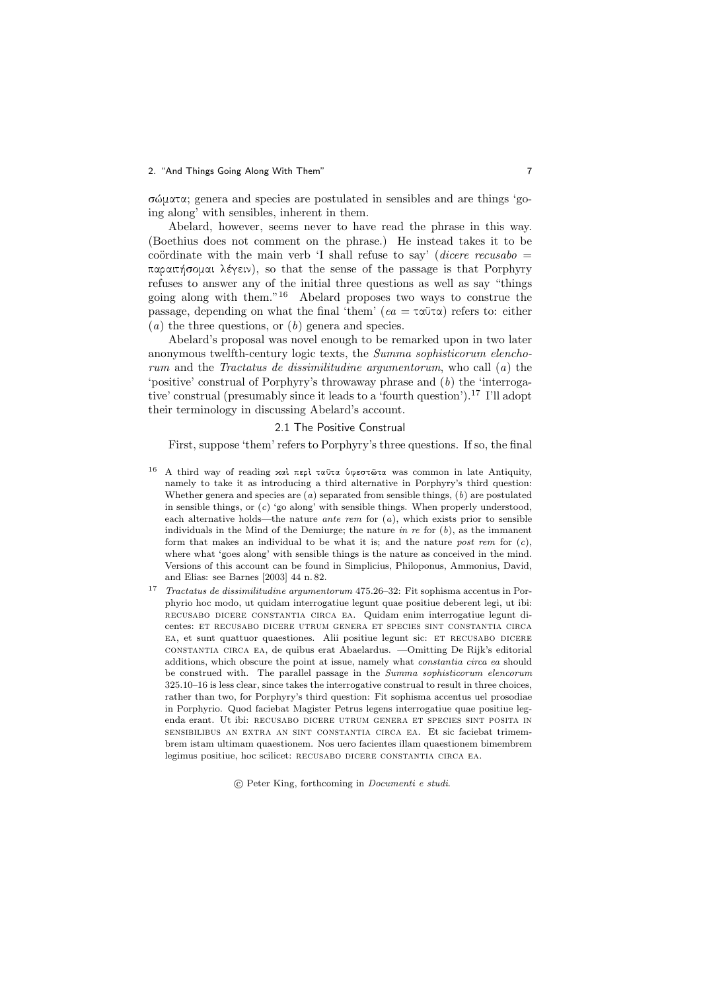#### 2. "And Things Going Along With Them" 7

 $σ\omega x \propto$ ; genera and species are postulated in sensibles and are things 'going along' with sensibles, inherent in them.

Abelard, however, seems never to have read the phrase in this way. (Boethius does not comment on the phrase.) He instead takes it to be coördinate with the main verb 'I shall refuse to say' (dicere recusabo  $=$  $\pi\alpha\rho\alpha\pi\eta\sigma\rho\mu\alpha\iota$   $\lambda\epsilon\gamma\epsilon\iota\nu$ ), so that the sense of the passage is that Porphyry refuses to answer any of the initial three questions as well as say "things going along with them."<sup>16</sup> Abelard proposes two ways to construe the passage, depending on what the final 'them' ( $ea = \tau \alpha \tilde{\upsilon} \tau \alpha$ ) refers to: either  $(a)$  the three questions, or  $(b)$  genera and species.

Abelard's proposal was novel enough to be remarked upon in two later anonymous twelfth-century logic texts, the Summa sophisticorum elenchorum and the Tractatus de dissimilitudine argumentorum, who call  $(a)$  the 'positive' construal of Porphyry's throwaway phrase and (b) the 'interrogative' construal (presumably since it leads to a 'fourth question').<sup>17</sup> I'll adopt their terminology in discussing Abelard's account.

### 2.1 The Positive Construal

First, suppose 'them' refers to Porphyry's three questions. If so, the final

- <sup>16</sup> A third way of reading καὶ περὶ ταῦτα ὑφεστῶτα was common in late Antiquity, namely to take it as introducing a third alternative in Porphyry's third question: Whether genera and species are  $(a)$  separated from sensible things,  $(b)$  are postulated in sensible things, or  $(c)$  'go along' with sensible things. When properly understood, each alternative holds—the nature *ante rem* for  $(a)$ , which exists prior to sensible individuals in the Mind of the Demiurge; the nature in re for  $(b)$ , as the immanent form that makes an individual to be what it is; and the nature post rem for  $(c)$ , where what 'goes along' with sensible things is the nature as conceived in the mind. Versions of this account can be found in Simplicius, Philoponus, Ammonius, David, and Elias: see Barnes [2003] 44 n. 82.
- <sup>17</sup> Tractatus de dissimilitudine argumentorum 475.26–32: Fit sophisma accentus in Porphyrio hoc modo, ut quidam interrogatiue legunt quae positiue deberent legi, ut ibi: recusabo dicere constantia circa ea. Quidam enim interrogatiue legunt dicentes: et recusabo dicere utrum genera et species sint constantia circa ea, et sunt quattuor quaestiones. Alii positiue legunt sic: et recusabo dicere constantia circa ea, de quibus erat Abaelardus. —Omitting De Rijk's editorial additions, which obscure the point at issue, namely what constantia circa ea should be construed with. The parallel passage in the Summa sophisticorum elencorum 325.10–16 is less clear, since takes the interrogative construal to result in three choices, rather than two, for Porphyry's third question: Fit sophisma accentus uel prosodiae in Porphyrio. Quod faciebat Magister Petrus legens interrogatiue quae positiue legenda erant. Ut ibi: recusabo dicere utrum genera et species sint posita in sensibilibus an extra an sint constantia circa ea. Et sic faciebat trimembrem istam ultimam quaestionem. Nos uero facientes illam quaestionem bimembrem legimus positiue, hoc scilicet: RECUSABO DICERE CONSTANTIA CIRCA EA.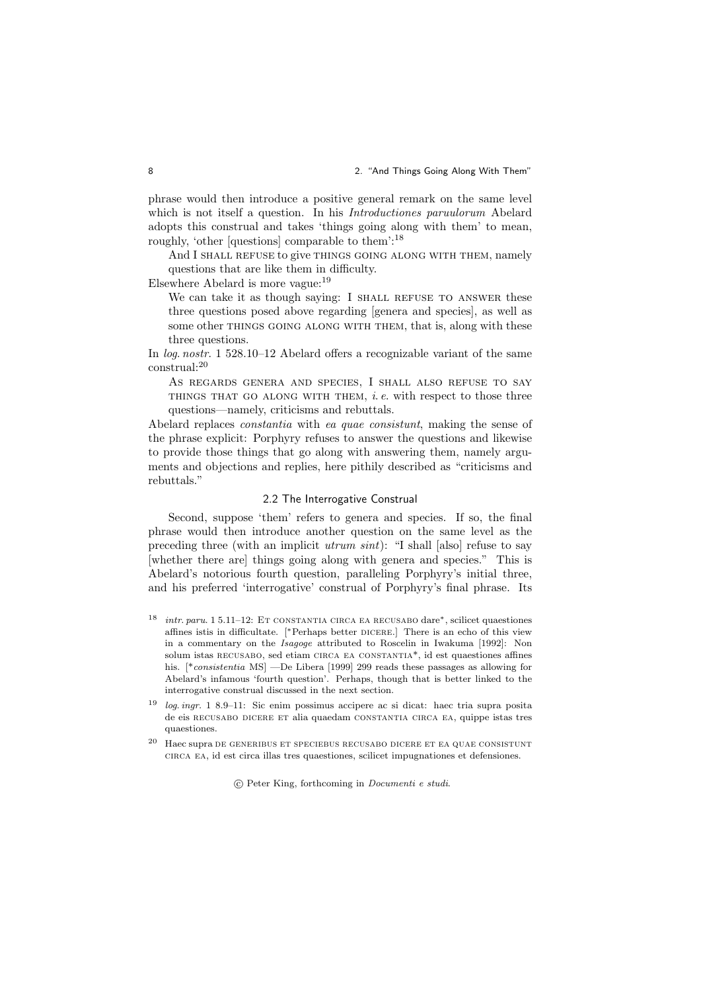phrase would then introduce a positive general remark on the same level which is not itself a question. In his *Introductiones paruulorum* Abelard adopts this construal and takes 'things going along with them' to mean, roughly, 'other [questions] comparable to them':<sup>18</sup>

And I SHALL REFUSE to give THINGS GOING ALONG WITH THEM, namely questions that are like them in difficulty.

Elsewhere Abelard is more vague:<sup>19</sup>

We can take it as though saying: I SHALL REFUSE TO ANSWER these three questions posed above regarding [genera and species], as well as some other THINGS GOING ALONG WITH THEM, that is, along with these three questions.

In log. nostr. 1 528.10–12 Abelard offers a recognizable variant of the same construal:<sup>20</sup>

As REGARDS GENERA AND SPECIES, I SHALL ALSO REFUSE TO SAY THINGS THAT GO ALONG WITH THEM,  $i. e$ . with respect to those three questions—namely, criticisms and rebuttals.

Abelard replaces constantia with ea quae consistunt, making the sense of the phrase explicit: Porphyry refuses to answer the questions and likewise to provide those things that go along with answering them, namely arguments and objections and replies, here pithily described as "criticisms and rebuttals."

### 2.2 The Interrogative Construal

Second, suppose 'them' refers to genera and species. If so, the final phrase would then introduce another question on the same level as the preceding three (with an implicit utrum sint): "I shall [also] refuse to say [whether there are] things going along with genera and species." This is Abelard's notorious fourth question, paralleling Porphyry's initial three, and his preferred 'interrogative' construal of Porphyry's final phrase. Its

- <sup>18</sup> intr. paru. 1 5.11–12: Et constantia circa ea recusabo dare∗, scilicet quaestiones affines istis in difficultate. [∗Perhaps better dicere.] There is an echo of this view in a commentary on the Isagoge attributed to Roscelin in Iwakuma [1992]: Non solum istas RECUSABO, sed etiam CIRCA EA CONSTANTIA<sup>\*</sup>, id est quaestiones affines his. [\*consistentia MS] —De Libera [1999] 299 reads these passages as allowing for Abelard's infamous 'fourth question'. Perhaps, though that is better linked to the interrogative construal discussed in the next section.
- <sup>19</sup> log. ingr. 1 8.9–11: Sic enim possimus accipere ac si dicat: haec tria supra posita de eis recusabo dicere et alia quaedam constantia circa ea, quippe istas tres quaestiones.
- $20$  Haec supra DE GENERIBUS ET SPECIEBUS RECUSABO DICERE ET EA QUAE CONSISTUNT circa ea, id est circa illas tres quaestiones, scilicet impugnationes et defensiones.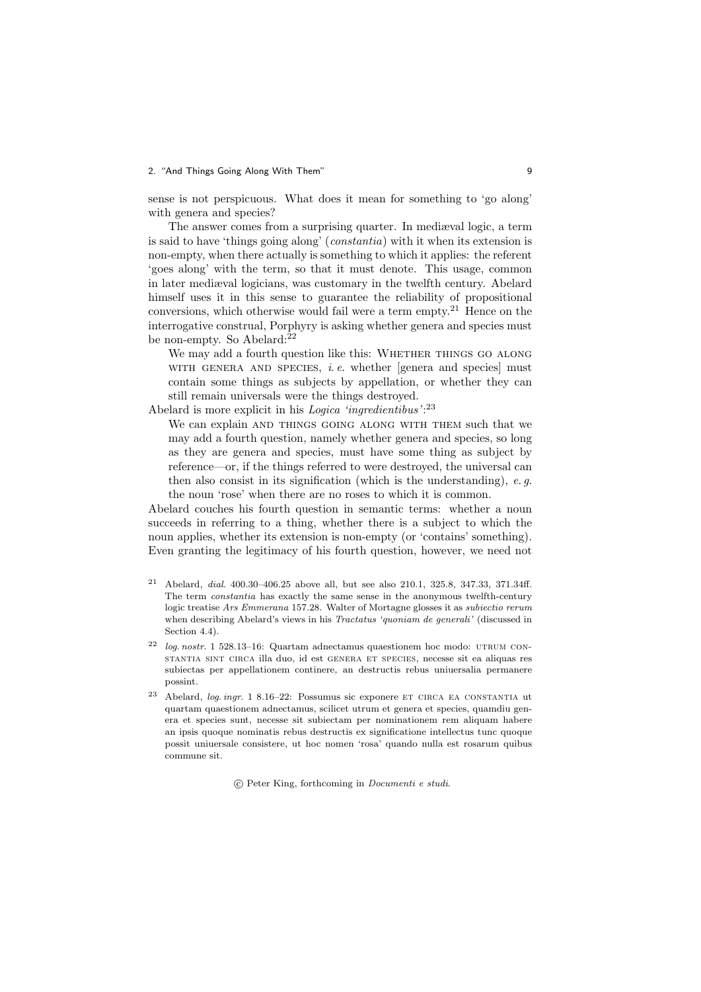### 2. "And Things Going Along With Them" 9

sense is not perspicuous. What does it mean for something to 'go along' with genera and species?

The answer comes from a surprising quarter. In mediæval logic, a term is said to have 'things going along' (constantia) with it when its extension is non-empty, when there actually is something to which it applies: the referent 'goes along' with the term, so that it must denote. This usage, common in later mediæval logicians, was customary in the twelfth century. Abelard himself uses it in this sense to guarantee the reliability of propositional conversions, which otherwise would fail were a term empty.<sup>21</sup> Hence on the interrogative construal, Porphyry is asking whether genera and species must be non-empty. So Abelard:<sup>22</sup>

We may add a fourth question like this: WHETHER THINGS GO ALONG WITH GENERA AND SPECIES, *i.e.* whether [genera and species] must contain some things as subjects by appellation, or whether they can still remain universals were the things destroyed.

Abelard is more explicit in his Logica 'ingredientibus':<sup>23</sup>

We can explain AND THINGS GOING ALONG WITH THEM such that we may add a fourth question, namely whether genera and species, so long as they are genera and species, must have some thing as subject by reference—or, if the things referred to were destroyed, the universal can then also consist in its signification (which is the understanding), e. g. the noun 'rose' when there are no roses to which it is common.

Abelard couches his fourth question in semantic terms: whether a noun succeeds in referring to a thing, whether there is a subject to which the noun applies, whether its extension is non-empty (or 'contains' something). Even granting the legitimacy of his fourth question, however, we need not

- <sup>21</sup> Abelard, dial. 400.30–406.25 above all, but see also 210.1, 325.8, 347.33, 371.34ff. The term constantia has exactly the same sense in the anonymous twelfth-century logic treatise Ars Emmerana 157.28. Walter of Mortagne glosses it as subiectio rerum when describing Abelard's views in his *Tractatus 'quoniam de generali'* (discussed in Section  $4.4$ ).
- $22$  log. nostr. 1 528.13–16: Quartam adnectamus quaestionem hoc modo: UTRUM CONstantia sint circa illa duo, id est genera et species, necesse sit ea aliquas res subiectas per appellationem continere, an destructis rebus uniuersalia permanere possint.
- <sup>23</sup> Abelard, *log. ingr.* 1 8.16–22: Possumus sic exponere ET CIRCA EA CONSTANTIA ut quartam quaestionem adnectamus, scilicet utrum et genera et species, quamdiu genera et species sunt, necesse sit subiectam per nominationem rem aliquam habere an ipsis quoque nominatis rebus destructis ex significatione intellectus tunc quoque possit uniuersale consistere, ut hoc nomen 'rosa' quando nulla est rosarum quibus commune sit.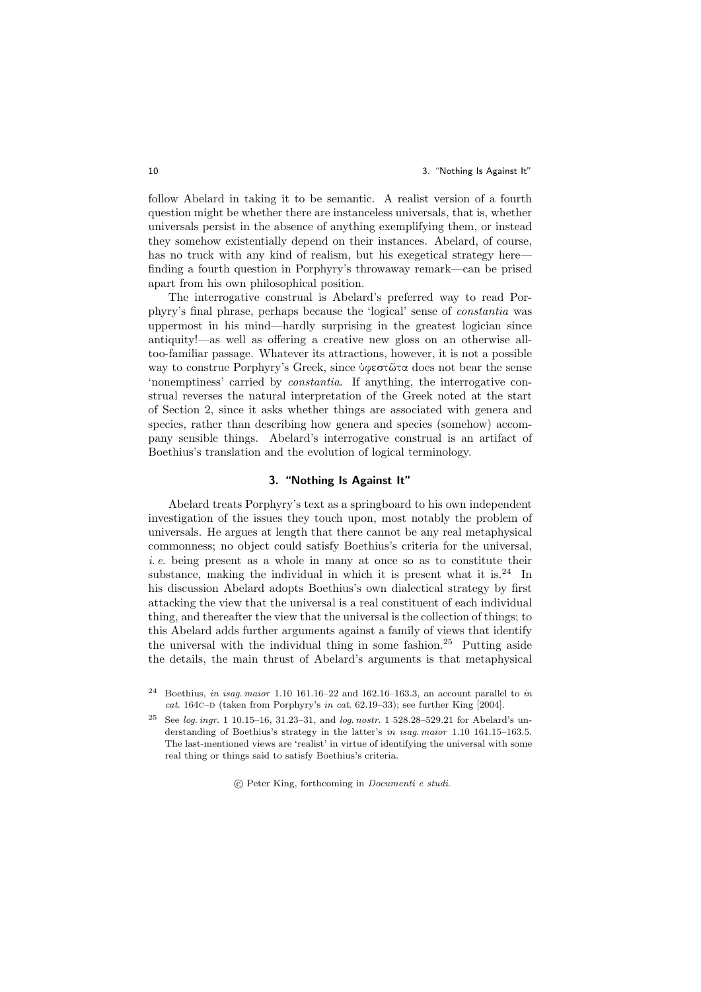#### 10 3. "Nothing Is Against It"

follow Abelard in taking it to be semantic. A realist version of a fourth question might be whether there are instanceless universals, that is, whether universals persist in the absence of anything exemplifying them, or instead they somehow existentially depend on their instances. Abelard, of course, has no truck with any kind of realism, but his exegetical strategy here finding a fourth question in Porphyry's throwaway remark—can be prised apart from his own philosophical position.

The interrogative construal is Abelard's preferred way to read Porphyry's final phrase, perhaps because the 'logical' sense of constantia was uppermost in his mind—hardly surprising in the greatest logician since antiquity!—as well as offering a creative new gloss on an otherwise alltoo-familiar passage. Whatever its attractions, however, it is not a possible way to construe Porphyry's Greek, since *ύφεστ*ῶτα does not bear the sense 'nonemptiness' carried by constantia. If anything, the interrogative construal reverses the natural interpretation of the Greek noted at the start of Section 2, since it asks whether things are associated with genera and species, rather than describing how genera and species (somehow) accompany sensible things. Abelard's interrogative construal is an artifact of Boethius's translation and the evolution of logical terminology.

## 3. "Nothing Is Against It"

Abelard treats Porphyry's text as a springboard to his own independent investigation of the issues they touch upon, most notably the problem of universals. He argues at length that there cannot be any real metaphysical commonness; no object could satisfy Boethius's criteria for the universal,  $i.e.$  being present as a whole in many at once so as to constitute their substance, making the individual in which it is present what it is. $24$  In his discussion Abelard adopts Boethius's own dialectical strategy by first attacking the view that the universal is a real constituent of each individual thing, and thereafter the view that the universal is the collection of things; to this Abelard adds further arguments against a family of views that identify the universal with the individual thing in some fashion.<sup>25</sup> Putting aside the details, the main thrust of Abelard's arguments is that metaphysical

<sup>&</sup>lt;sup>24</sup> Boethius, in isag. maior 1.10 161.16–22 and 162.16–163.3, an account parallel to in cat. 164c– $D$  (taken from Porphyry's in cat. 62.19–33); see further King [2004].

<sup>25</sup> See log. ingr. 1 10.15–16, 31.23–31, and log. nostr. 1 528.28–529.21 for Abelard's understanding of Boethius's strategy in the latter's in isag. maior 1.10 161.15–163.5. The last-mentioned views are 'realist' in virtue of identifying the universal with some real thing or things said to satisfy Boethius's criteria.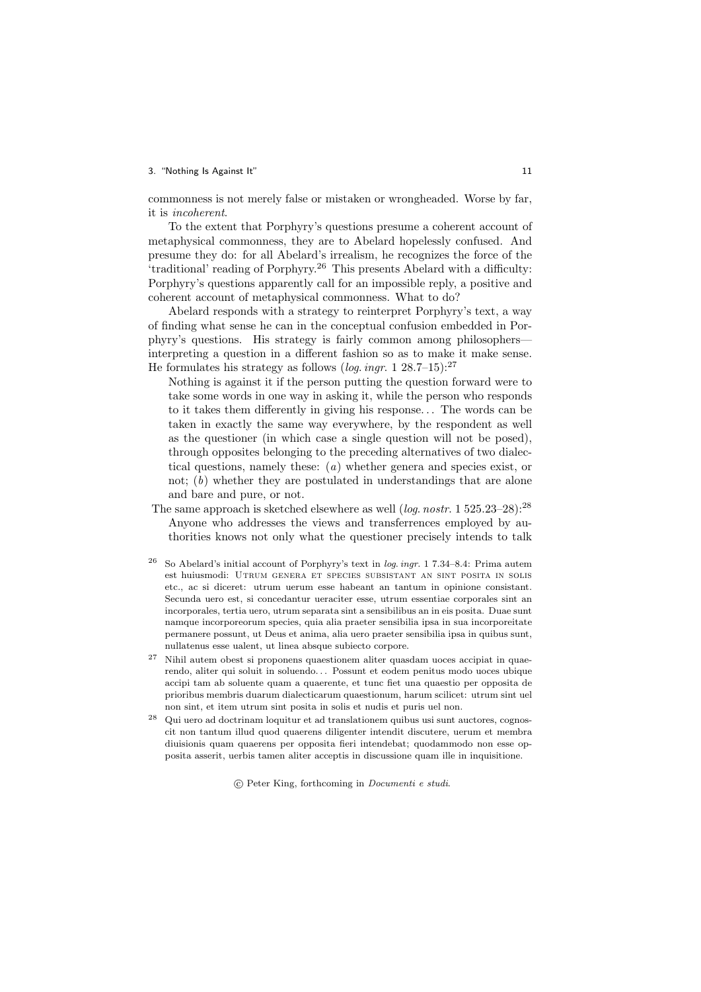#### 3. "Nothing Is Against It" 11

commonness is not merely false or mistaken or wrongheaded. Worse by far, it is incoherent.

To the extent that Porphyry's questions presume a coherent account of metaphysical commonness, they are to Abelard hopelessly confused. And presume they do: for all Abelard's irrealism, he recognizes the force of the 'traditional' reading of Porphyry.<sup>26</sup> This presents Abelard with a difficulty: Porphyry's questions apparently call for an impossible reply, a positive and coherent account of metaphysical commonness. What to do?

Abelard responds with a strategy to reinterpret Porphyry's text, a way of finding what sense he can in the conceptual confusion embedded in Porphyry's questions. His strategy is fairly common among philosophers interpreting a question in a different fashion so as to make it make sense. He formulates his strategy as follows (log. ingr. 1 28.7–15):<sup>27</sup>

Nothing is against it if the person putting the question forward were to take some words in one way in asking it, while the person who responds to it takes them differently in giving his response. . . The words can be taken in exactly the same way everywhere, by the respondent as well as the questioner (in which case a single question will not be posed), through opposites belonging to the preceding alternatives of two dialectical questions, namely these: (a) whether genera and species exist, or not; (b) whether they are postulated in understandings that are alone and bare and pure, or not.

- The same approach is sketched elsewhere as well (*log. nostr.* 1 525.23–28):<sup>28</sup> Anyone who addresses the views and transferrences employed by authorities knows not only what the questioner precisely intends to talk
- <sup>26</sup> So Abelard's initial account of Porphyry's text in log. ingr. 1 7.34–8.4: Prima autem est huiusmodi: Utrum genera et species subsistant an sint posita in solis etc., ac si diceret: utrum uerum esse habeant an tantum in opinione consistant. Secunda uero est, si concedantur ueraciter esse, utrum essentiae corporales sint an incorporales, tertia uero, utrum separata sint a sensibilibus an in eis posita. Duae sunt namque incorporeorum species, quia alia praeter sensibilia ipsa in sua incorporeitate permanere possunt, ut Deus et anima, alia uero praeter sensibilia ipsa in quibus sunt, nullatenus esse ualent, ut linea absque subiecto corpore.
- <sup>27</sup> Nihil autem obest si proponens quaestionem aliter quasdam uoces accipiat in quaerendo, aliter qui soluit in soluendo. . . Possunt et eodem penitus modo uoces ubique accipi tam ab soluente quam a quaerente, et tunc fiet una quaestio per opposita de prioribus membris duarum dialecticarum quaestionum, harum scilicet: utrum sint uel non sint, et item utrum sint posita in solis et nudis et puris uel non.
- <sup>28</sup> Qui uero ad doctrinam loquitur et ad translationem quibus usi sunt auctores, cognoscit non tantum illud quod quaerens diligenter intendit discutere, uerum et membra diuisionis quam quaerens per opposita fieri intendebat; quodammodo non esse opposita asserit, uerbis tamen aliter acceptis in discussione quam ille in inquisitione.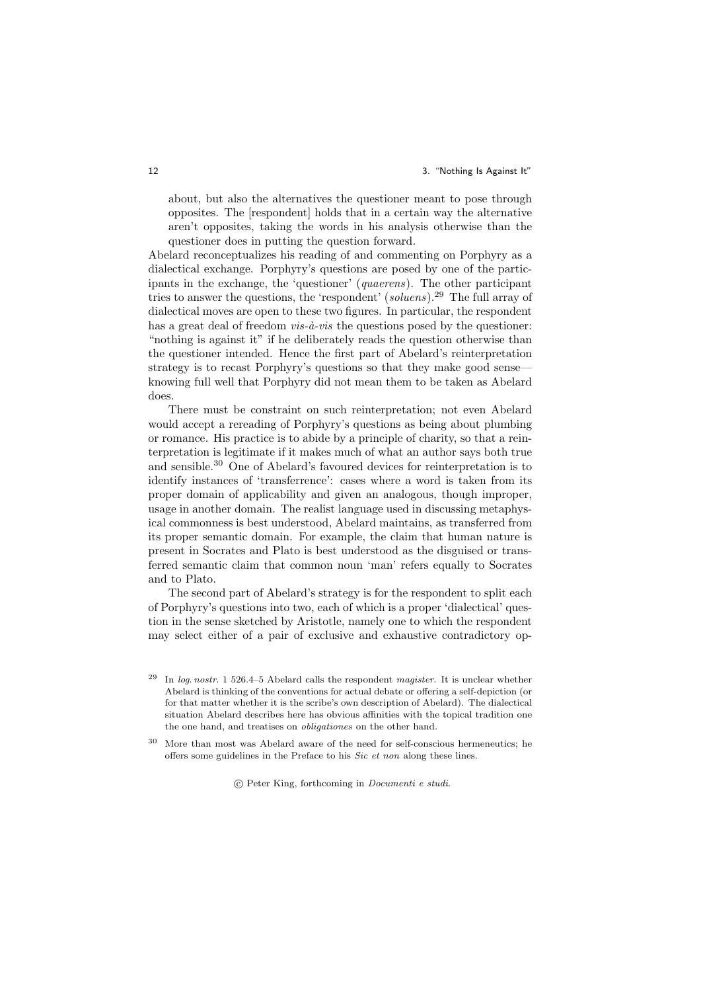#### 12 **12** 3. "Nothing Is Against It"

about, but also the alternatives the questioner meant to pose through opposites. The [respondent] holds that in a certain way the alternative aren't opposites, taking the words in his analysis otherwise than the questioner does in putting the question forward.

Abelard reconceptualizes his reading of and commenting on Porphyry as a dialectical exchange. Porphyry's questions are posed by one of the participants in the exchange, the 'questioner' (quaerens). The other participant tries to answer the questions, the 'respondent' (soluens).<sup>29</sup> The full array of dialectical moves are open to these two figures. In particular, the respondent has a great deal of freedom  $vis-\hat{a}-vis$  the questions posed by the questioner: "nothing is against it" if he deliberately reads the question otherwise than the questioner intended. Hence the first part of Abelard's reinterpretation strategy is to recast Porphyry's questions so that they make good sense knowing full well that Porphyry did not mean them to be taken as Abelard does.

There must be constraint on such reinterpretation; not even Abelard would accept a rereading of Porphyry's questions as being about plumbing or romance. His practice is to abide by a principle of charity, so that a reinterpretation is legitimate if it makes much of what an author says both true and sensible.<sup>30</sup> One of Abelard's favoured devices for reinterpretation is to identify instances of 'transferrence': cases where a word is taken from its proper domain of applicability and given an analogous, though improper, usage in another domain. The realist language used in discussing metaphysical commonness is best understood, Abelard maintains, as transferred from its proper semantic domain. For example, the claim that human nature is present in Socrates and Plato is best understood as the disguised or transferred semantic claim that common noun 'man' refers equally to Socrates and to Plato.

The second part of Abelard's strategy is for the respondent to split each of Porphyry's questions into two, each of which is a proper 'dialectical' question in the sense sketched by Aristotle, namely one to which the respondent may select either of a pair of exclusive and exhaustive contradictory op-

 $29$  In log. nostr. 1 526.4–5 Abelard calls the respondent magister. It is unclear whether Abelard is thinking of the conventions for actual debate or offering a self-depiction (or for that matter whether it is the scribe's own description of Abelard). The dialectical situation Abelard describes here has obvious affinities with the topical tradition one the one hand, and treatises on obligationes on the other hand.

<sup>30</sup> More than most was Abelard aware of the need for self-conscious hermeneutics; he offers some guidelines in the Preface to his Sic et non along these lines.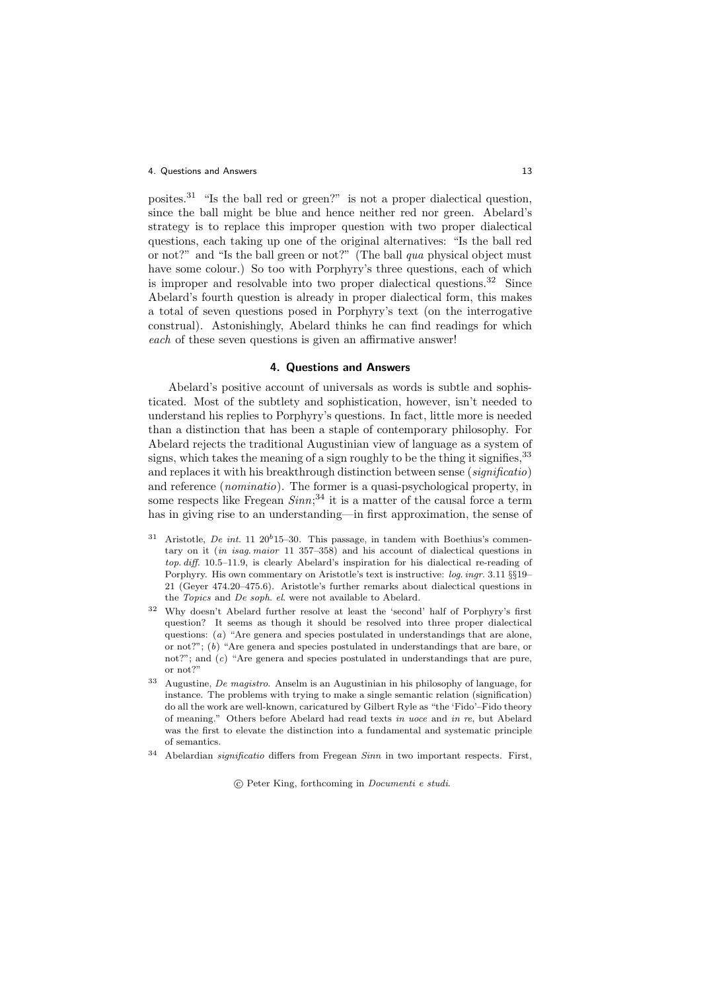posites.<sup>31</sup> "Is the ball red or green?" is not a proper dialectical question, since the ball might be blue and hence neither red nor green. Abelard's strategy is to replace this improper question with two proper dialectical questions, each taking up one of the original alternatives: "Is the ball red or not?" and "Is the ball green or not?" (The ball qua physical object must have some colour.) So too with Porphyry's three questions, each of which is improper and resolvable into two proper dialectical questions.<sup>32</sup> Since Abelard's fourth question is already in proper dialectical form, this makes a total of seven questions posed in Porphyry's text (on the interrogative construal). Astonishingly, Abelard thinks he can find readings for which each of these seven questions is given an affirmative answer!

### 4. Questions and Answers

Abelard's positive account of universals as words is subtle and sophisticated. Most of the subtlety and sophistication, however, isn't needed to understand his replies to Porphyry's questions. In fact, little more is needed than a distinction that has been a staple of contemporary philosophy. For Abelard rejects the traditional Augustinian view of language as a system of signs, which takes the meaning of a sign roughly to be the thing it signifies,  $33$ and replaces it with his breakthrough distinction between sense (significatio) and reference (nominatio). The former is a quasi-psychological property, in some respects like Fregean  $Sinn;^{34}$  it is a matter of the causal force a term has in giving rise to an understanding—in first approximation, the sense of

- <sup>31</sup> Aristotle, *De int.* 11 20<sup>b</sup>15–30. This passage, in tandem with Boethius's commentary on it (in isag. maior 11 357–358) and his account of dialectical questions in top. diff. 10.5–11.9, is clearly Abelard's inspiration for his dialectical re-reading of Porphyry. His own commentary on Aristotle's text is instructive: log. ingr. 3.11 §§19– 21 (Geyer 474.20–475.6). Aristotle's further remarks about dialectical questions in the Topics and De soph. el. were not available to Abelard.
- <sup>32</sup> Why doesn't Abelard further resolve at least the 'second' half of Porphyry's first question? It seems as though it should be resolved into three proper dialectical questions: (a) "Are genera and species postulated in understandings that are alone, or not?";  $(b)$  "Are genera and species postulated in understandings that are bare, or not?"; and  $(c)$  "Are genera and species postulated in understandings that are pure, or not?"
- <sup>33</sup> Augustine, De magistro. Anselm is an Augustinian in his philosophy of language, for instance. The problems with trying to make a single semantic relation (signification) do all the work are well-known, caricatured by Gilbert Ryle as "the 'Fido'–Fido theory of meaning." Others before Abelard had read texts in uoce and in re, but Abelard was the first to elevate the distinction into a fundamental and systematic principle of semantics.
- <sup>34</sup> Abelardian significatio differs from Fregean Sinn in two important respects. First,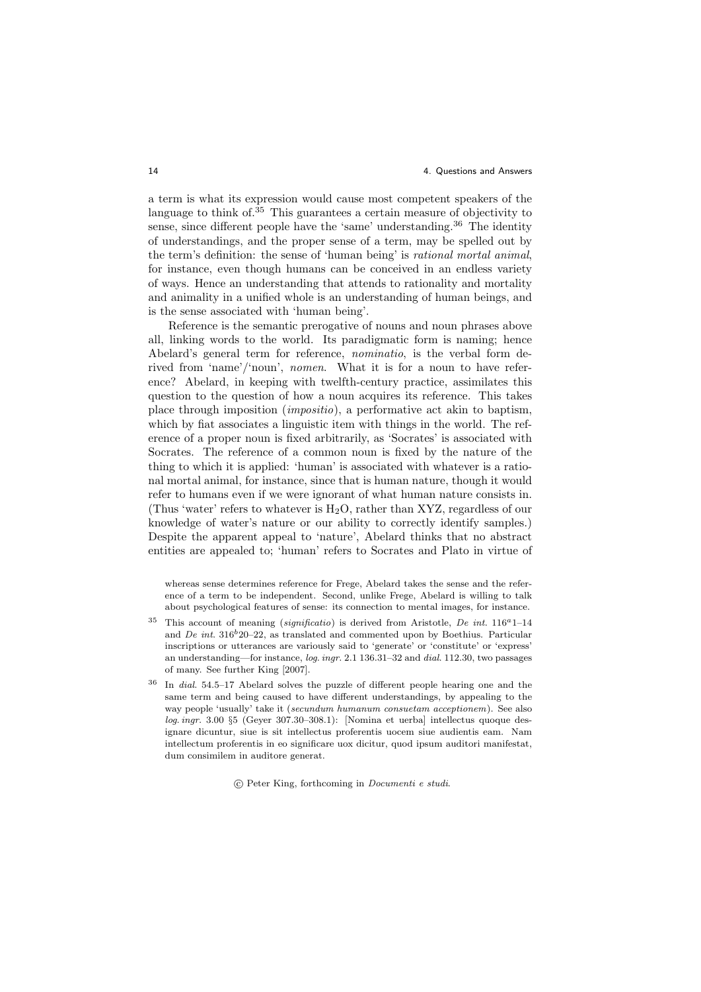a term is what its expression would cause most competent speakers of the language to think of.<sup>35</sup> This guarantees a certain measure of objectivity to sense, since different people have the 'same' understanding.<sup>36</sup> The identity of understandings, and the proper sense of a term, may be spelled out by the term's definition: the sense of 'human being' is rational mortal animal, for instance, even though humans can be conceived in an endless variety of ways. Hence an understanding that attends to rationality and mortality and animality in a unified whole is an understanding of human beings, and is the sense associated with 'human being'.

Reference is the semantic prerogative of nouns and noun phrases above all, linking words to the world. Its paradigmatic form is naming; hence Abelard's general term for reference, nominatio, is the verbal form derived from 'name'/'noun', nomen. What it is for a noun to have reference? Abelard, in keeping with twelfth-century practice, assimilates this question to the question of how a noun acquires its reference. This takes place through imposition (impositio), a performative act akin to baptism, which by fiat associates a linguistic item with things in the world. The reference of a proper noun is fixed arbitrarily, as 'Socrates' is associated with Socrates. The reference of a common noun is fixed by the nature of the thing to which it is applied: 'human' is associated with whatever is a rational mortal animal, for instance, since that is human nature, though it would refer to humans even if we were ignorant of what human nature consists in. (Thus 'water' refers to whatever is  $H_2O$ , rather than XYZ, regardless of our knowledge of water's nature or our ability to correctly identify samples.) Despite the apparent appeal to 'nature', Abelard thinks that no abstract entities are appealed to; 'human' refers to Socrates and Plato in virtue of

whereas sense determines reference for Frege, Abelard takes the sense and the reference of a term to be independent. Second, unlike Frege, Abelard is willing to talk about psychological features of sense: its connection to mental images, for instance.

- <sup>35</sup> This account of meaning (significatio) is derived from Aristotle, De int.  $116^a1-14$ and De int.  $316^{b}20-22$ , as translated and commented upon by Boethius. Particular inscriptions or utterances are variously said to 'generate' or 'constitute' or 'express' an understanding—for instance, log. ingr. 2.1 136.31–32 and dial. 112.30, two passages of many. See further King [2007].
- <sup>36</sup> In dial. 54.5–17 Abelard solves the puzzle of different people hearing one and the same term and being caused to have different understandings, by appealing to the way people 'usually' take it (secundum humanum consuetam acceptionem). See also log. ingr. 3.00 §5 (Geyer 307.30–308.1): [Nomina et uerba] intellectus quoque designare dicuntur, siue is sit intellectus proferentis uocem siue audientis eam. Nam intellectum proferentis in eo significare uox dicitur, quod ipsum auditori manifestat, dum consimilem in auditore generat.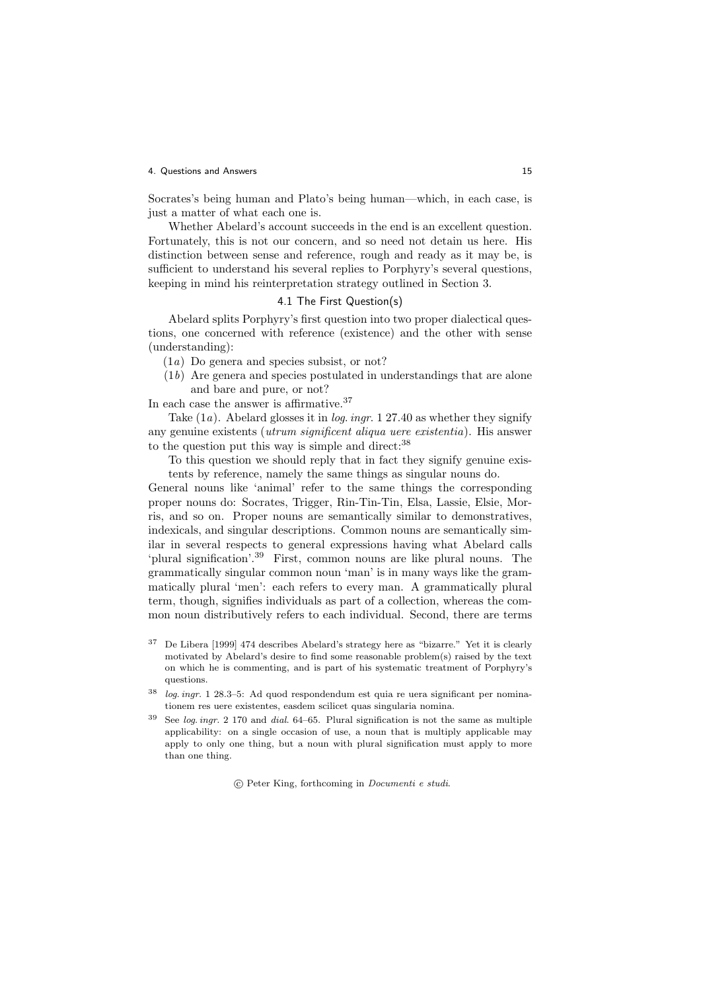Socrates's being human and Plato's being human—which, in each case, is just a matter of what each one is.

Whether Abelard's account succeeds in the end is an excellent question. Fortunately, this is not our concern, and so need not detain us here. His distinction between sense and reference, rough and ready as it may be, is sufficient to understand his several replies to Porphyry's several questions, keeping in mind his reinterpretation strategy outlined in Section 3.

### 4.1 The First Question(s)

Abelard splits Porphyry's first question into two proper dialectical questions, one concerned with reference (existence) and the other with sense (understanding):

- (1a) Do genera and species subsist, or not?
- (1b) Are genera and species postulated in understandings that are alone and bare and pure, or not?

In each case the answer is affirmative.<sup>37</sup>

Take  $(1a)$ . Abelard glosses it in *log. ingr.* 1 27.40 as whether they signify any genuine existents (utrum significent aliqua uere existentia). His answer to the question put this way is simple and direct:<sup>38</sup>

To this question we should reply that in fact they signify genuine existents by reference, namely the same things as singular nouns do.

General nouns like 'animal' refer to the same things the corresponding proper nouns do: Socrates, Trigger, Rin-Tin-Tin, Elsa, Lassie, Elsie, Morris, and so on. Proper nouns are semantically similar to demonstratives, indexicals, and singular descriptions. Common nouns are semantically similar in several respects to general expressions having what Abelard calls 'plural signification'.<sup>39</sup> First, common nouns are like plural nouns. The grammatically singular common noun 'man' is in many ways like the grammatically plural 'men': each refers to every man. A grammatically plural term, though, signifies individuals as part of a collection, whereas the common noun distributively refers to each individual. Second, there are terms

- <sup>37</sup> De Libera [1999] 474 describes Abelard's strategy here as "bizarre." Yet it is clearly motivated by Abelard's desire to find some reasonable problem(s) raised by the text on which he is commenting, and is part of his systematic treatment of Porphyry's questions.
- <sup>38</sup> log. ingr. 1 28.3–5: Ad quod respondendum est quia re uera significant per nominationem res uere existentes, easdem scilicet quas singularia nomina.
- See log. ingr. 2 170 and dial.  $64-65$ . Plural signification is not the same as multiple applicability: on a single occasion of use, a noun that is multiply applicable may apply to only one thing, but a noun with plural signification must apply to more than one thing.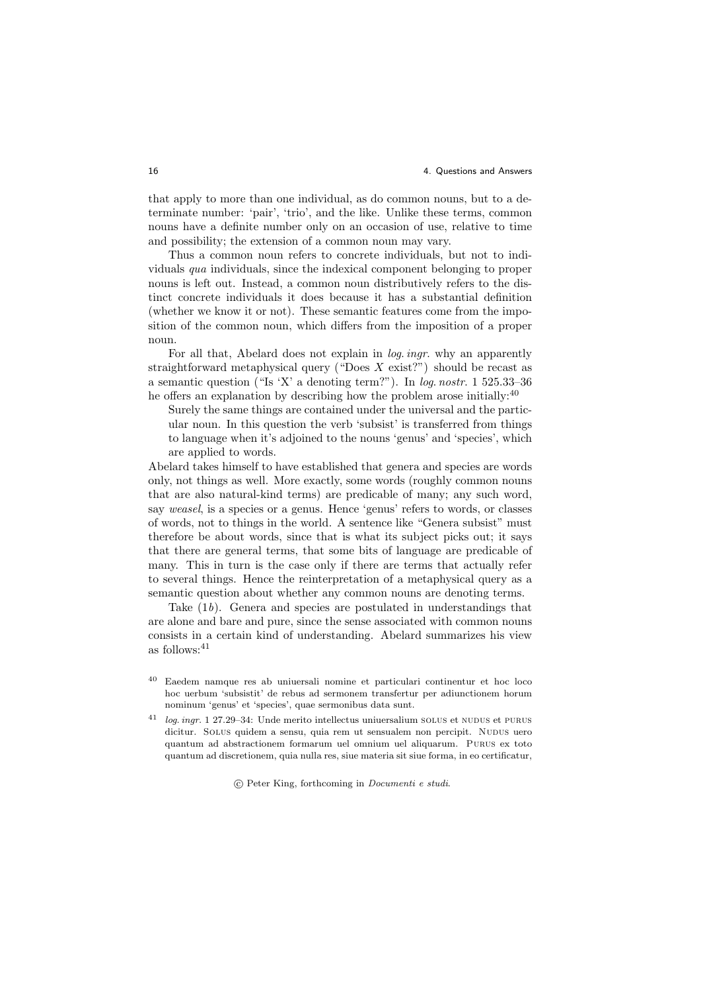that apply to more than one individual, as do common nouns, but to a determinate number: 'pair', 'trio', and the like. Unlike these terms, common nouns have a definite number only on an occasion of use, relative to time and possibility; the extension of a common noun may vary.

Thus a common noun refers to concrete individuals, but not to individuals qua individuals, since the indexical component belonging to proper nouns is left out. Instead, a common noun distributively refers to the distinct concrete individuals it does because it has a substantial definition (whether we know it or not). These semantic features come from the imposition of the common noun, which differs from the imposition of a proper noun.

For all that, Abelard does not explain in *log. ingr.* why an apparently straightforward metaphysical query ("Does  $X$  exist?") should be recast as a semantic question ("Is 'X' a denoting term?"). In log. nostr. 1 525.33–36 he offers an explanation by describing how the problem arose initially:<sup>40</sup>

Surely the same things are contained under the universal and the particular noun. In this question the verb 'subsist' is transferred from things to language when it's adjoined to the nouns 'genus' and 'species', which are applied to words.

Abelard takes himself to have established that genera and species are words only, not things as well. More exactly, some words (roughly common nouns that are also natural-kind terms) are predicable of many; any such word, say weasel, is a species or a genus. Hence 'genus' refers to words, or classes of words, not to things in the world. A sentence like "Genera subsist" must therefore be about words, since that is what its subject picks out; it says that there are general terms, that some bits of language are predicable of many. This in turn is the case only if there are terms that actually refer to several things. Hence the reinterpretation of a metaphysical query as a semantic question about whether any common nouns are denoting terms.

Take (1b). Genera and species are postulated in understandings that are alone and bare and pure, since the sense associated with common nouns consists in a certain kind of understanding. Abelard summarizes his view as follows:<br> $\!41}$ 

- <sup>40</sup> Eaedem namque res ab uniuersali nomine et particulari continentur et hoc loco hoc uerbum 'subsistit' de rebus ad sermonem transfertur per adiunctionem horum nominum 'genus' et 'species', quae sermonibus data sunt.
- <sup>41</sup> log. ingr. 1 27.29–34: Unde merito intellectus uniuersalium solus et nudus et purus dicitur. Solus quidem a sensu, quia rem ut sensualem non percipit. Nudus uero quantum ad abstractionem formarum uel omnium uel aliquarum. Purus ex toto quantum ad discretionem, quia nulla res, siue materia sit siue forma, in eo certificatur,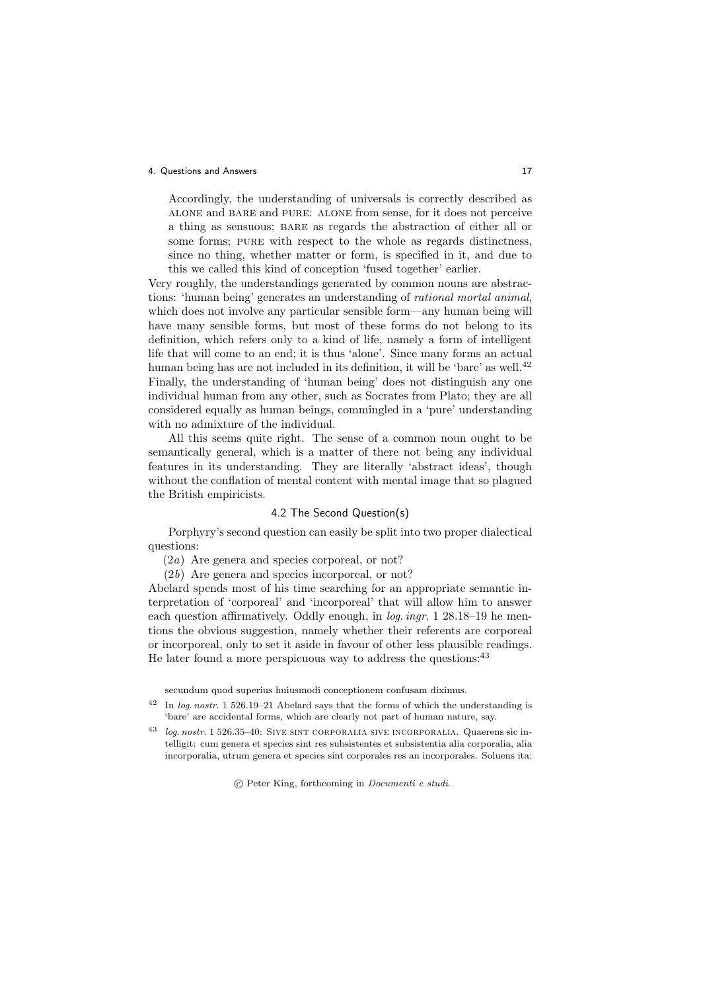Accordingly, the understanding of universals is correctly described as alone and bare and pure: alone from sense, for it does not perceive a thing as sensuous; BARE as regards the abstraction of either all or some forms; PURE with respect to the whole as regards distinctness, since no thing, whether matter or form, is specified in it, and due to this we called this kind of conception 'fused together' earlier.

Very roughly, the understandings generated by common nouns are abstractions: 'human being' generates an understanding of rational mortal animal, which does not involve any particular sensible form—any human being will have many sensible forms, but most of these forms do not belong to its definition, which refers only to a kind of life, namely a form of intelligent life that will come to an end; it is thus 'alone'. Since many forms an actual human being has are not included in its definition, it will be 'bare' as well.<sup>42</sup> Finally, the understanding of 'human being' does not distinguish any one individual human from any other, such as Socrates from Plato; they are all considered equally as human beings, commingled in a 'pure' understanding with no admixture of the individual.

All this seems quite right. The sense of a common noun ought to be semantically general, which is a matter of there not being any individual features in its understanding. They are literally 'abstract ideas', though without the conflation of mental content with mental image that so plagued the British empiricists.

### 4.2 The Second Question(s)

Porphyry's second question can easily be split into two proper dialectical questions:

(2a) Are genera and species corporeal, or not?

(2b) Are genera and species incorporeal, or not?

Abelard spends most of his time searching for an appropriate semantic interpretation of 'corporeal' and 'incorporeal' that will allow him to answer each question affirmatively. Oddly enough, in log. ingr. 1 28.18–19 he mentions the obvious suggestion, namely whether their referents are corporeal or incorporeal, only to set it aside in favour of other less plausible readings. He later found a more perspicuous way to address the questions: <sup>43</sup>

secundum quod superius huiusmodi conceptionem confusam diximus.

- <sup>42</sup> In log. nostr. 1 526.19–21 Abelard says that the forms of which the understanding is 'bare' are accidental forms, which are clearly not part of human nature, say.
- <sup>43</sup> log. nostr. 1 526.35–40: Sive sint corporalia sive incorporalia. Quaerens sic intelligit: cum genera et species sint res subsistentes et subsistentia alia corporalia, alia incorporalia, utrum genera et species sint corporales res an incorporales. Soluens ita: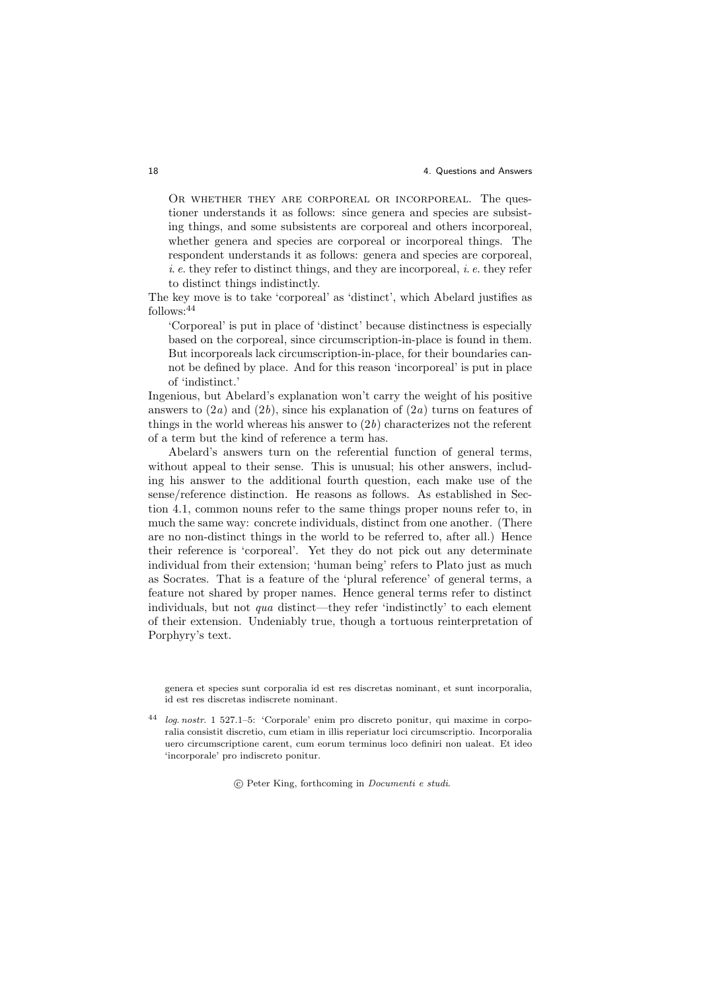OR WHETHER THEY ARE CORPOREAL OR INCORPOREAL. The questioner understands it as follows: since genera and species are subsisting things, and some subsistents are corporeal and others incorporeal, whether genera and species are corporeal or incorporeal things. The respondent understands it as follows: genera and species are corporeal,  $i. e.$  they refer to distinct things, and they are incorporeal,  $i. e.$  they refer to distinct things indistinctly.

The key move is to take 'corporeal' as 'distinct', which Abelard justifies as follows:<sup>44</sup>

'Corporeal' is put in place of 'distinct' because distinctness is especially based on the corporeal, since circumscription-in-place is found in them. But incorporeals lack circumscription-in-place, for their boundaries cannot be defined by place. And for this reason 'incorporeal' is put in place of 'indistinct.'

Ingenious, but Abelard's explanation won't carry the weight of his positive answers to  $(2a)$  and  $(2b)$ , since his explanation of  $(2a)$  turns on features of things in the world whereas his answer to  $(2b)$  characterizes not the referent of a term but the kind of reference a term has.

Abelard's answers turn on the referential function of general terms, without appeal to their sense. This is unusual; his other answers, including his answer to the additional fourth question, each make use of the sense/reference distinction. He reasons as follows. As established in Section 4.1, common nouns refer to the same things proper nouns refer to, in much the same way: concrete individuals, distinct from one another. (There are no non-distinct things in the world to be referred to, after all.) Hence their reference is 'corporeal'. Yet they do not pick out any determinate individual from their extension; 'human being' refers to Plato just as much as Socrates. That is a feature of the 'plural reference' of general terms, a feature not shared by proper names. Hence general terms refer to distinct individuals, but not qua distinct—they refer 'indistinctly' to each element of their extension. Undeniably true, though a tortuous reinterpretation of Porphyry's text.

genera et species sunt corporalia id est res discretas nominant, et sunt incorporalia, id est res discretas indiscrete nominant.

 $log.$  nostr. 1 527.1–5: 'Corporale' enim pro discreto ponitur, qui maxime in corporalia consistit discretio, cum etiam in illis reperiatur loci circumscriptio. Incorporalia uero circumscriptione carent, cum eorum terminus loco definiri non ualeat. Et ideo 'incorporale' pro indiscreto ponitur.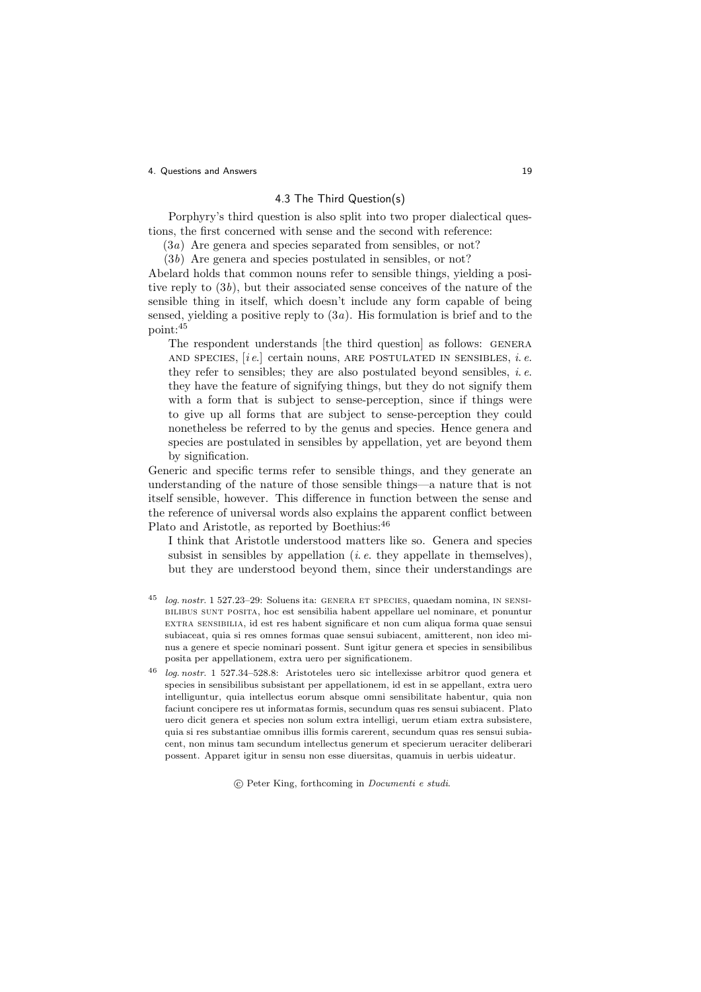# 4.3 The Third Question(s)

Porphyry's third question is also split into two proper dialectical questions, the first concerned with sense and the second with reference:

(3a) Are genera and species separated from sensibles, or not?

(3b) Are genera and species postulated in sensibles, or not?

Abelard holds that common nouns refer to sensible things, yielding a positive reply to  $(3b)$ , but their associated sense conceives of the nature of the sensible thing in itself, which doesn't include any form capable of being sensed, yielding a positive reply to  $(3a)$ . His formulation is brief and to the point:<sup>45</sup>

The respondent understands [the third question] as follows: GENERA AND SPECIES,  $[i e]$  certain nouns, ARE POSTULATED IN SENSIBLES, i.e. they refer to sensibles; they are also postulated beyond sensibles,  $i.e.$ they have the feature of signifying things, but they do not signify them with a form that is subject to sense-perception, since if things were to give up all forms that are subject to sense-perception they could nonetheless be referred to by the genus and species. Hence genera and species are postulated in sensibles by appellation, yet are beyond them by signification.

Generic and specific terms refer to sensible things, and they generate an understanding of the nature of those sensible things—a nature that is not itself sensible, however. This difference in function between the sense and the reference of universal words also explains the apparent conflict between Plato and Aristotle, as reported by Boethius:<sup>46</sup>

I think that Aristotle understood matters like so. Genera and species subsist in sensibles by appellation  $(i.e.$  they appellate in themselves), but they are understood beyond them, since their understandings are

- log. nostr. 1 527.23–29: Soluens ita: GENERA ET SPECIES, quaedam nomina, IN SENSIbilibus sunt posita, hoc est sensibilia habent appellare uel nominare, et ponuntur extra sensibilia, id est res habent significare et non cum aliqua forma quae sensui subiaceat, quia si res omnes formas quae sensui subiacent, amitterent, non ideo minus a genere et specie nominari possent. Sunt igitur genera et species in sensibilibus posita per appellationem, extra uero per significationem.
- <sup>46</sup> log. nostr. 1 527.34–528.8: Aristoteles uero sic intellexisse arbitror quod genera et species in sensibilibus subsistant per appellationem, id est in se appellant, extra uero intelliguntur, quia intellectus eorum absque omni sensibilitate habentur, quia non faciunt concipere res ut informatas formis, secundum quas res sensui subiacent. Plato uero dicit genera et species non solum extra intelligi, uerum etiam extra subsistere, quia si res substantiae omnibus illis formis carerent, secundum quas res sensui subiacent, non minus tam secundum intellectus generum et specierum ueraciter deliberari possent. Apparet igitur in sensu non esse diuersitas, quamuis in uerbis uideatur.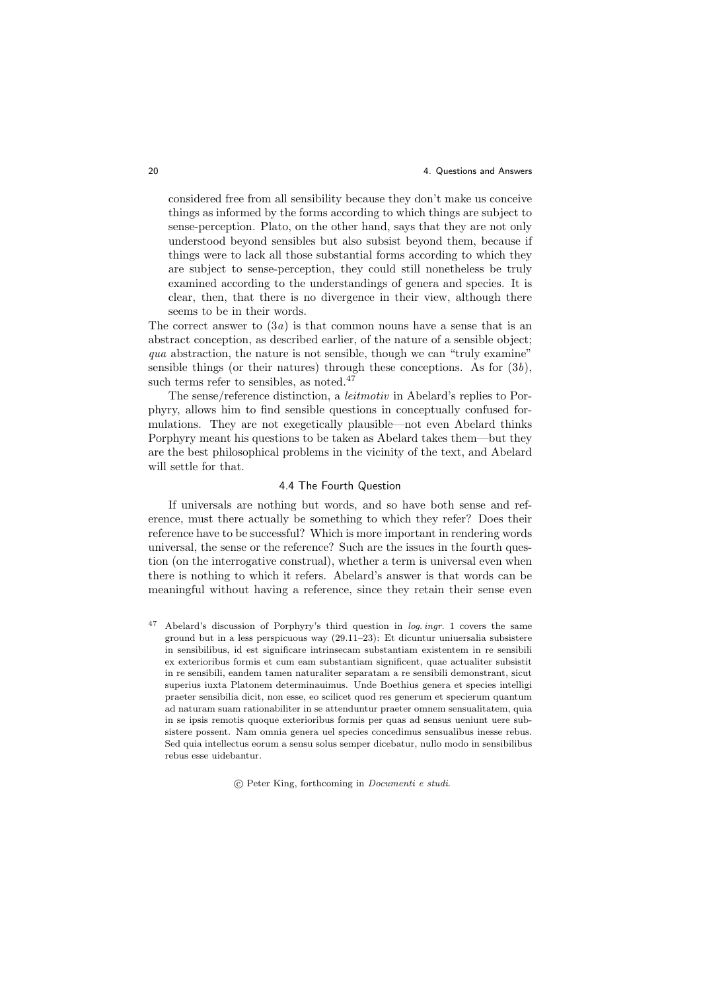considered free from all sensibility because they don't make us conceive things as informed by the forms according to which things are subject to sense-perception. Plato, on the other hand, says that they are not only understood beyond sensibles but also subsist beyond them, because if things were to lack all those substantial forms according to which they are subject to sense-perception, they could still nonetheless be truly examined according to the understandings of genera and species. It is clear, then, that there is no divergence in their view, although there seems to be in their words.

The correct answer to  $(3a)$  is that common nouns have a sense that is an abstract conception, as described earlier, of the nature of a sensible object; qua abstraction, the nature is not sensible, though we can "truly examine" sensible things (or their natures) through these conceptions. As for  $(3b)$ , such terms refer to sensibles, as noted.<sup>47</sup>

The sense/reference distinction, a leitmotiv in Abelard's replies to Porphyry, allows him to find sensible questions in conceptually confused formulations. They are not exegetically plausible—not even Abelard thinks Porphyry meant his questions to be taken as Abelard takes them—but they are the best philosophical problems in the vicinity of the text, and Abelard will settle for that.

## 4.4 The Fourth Question

If universals are nothing but words, and so have both sense and reference, must there actually be something to which they refer? Does their reference have to be successful? Which is more important in rendering words universal, the sense or the reference? Such are the issues in the fourth question (on the interrogative construal), whether a term is universal even when there is nothing to which it refers. Abelard's answer is that words can be meaningful without having a reference, since they retain their sense even

Abelard's discussion of Porphyry's third question in log. ingr. 1 covers the same ground but in a less perspicuous way (29.11–23): Et dicuntur uniuersalia subsistere in sensibilibus, id est significare intrinsecam substantiam existentem in re sensibili ex exterioribus formis et cum eam substantiam significent, quae actualiter subsistit in re sensibili, eandem tamen naturaliter separatam a re sensibili demonstrant, sicut superius iuxta Platonem determinauimus. Unde Boethius genera et species intelligi praeter sensibilia dicit, non esse, eo scilicet quod res generum et specierum quantum ad naturam suam rationabiliter in se attenduntur praeter omnem sensualitatem, quia in se ipsis remotis quoque exterioribus formis per quas ad sensus ueniunt uere subsistere possent. Nam omnia genera uel species concedimus sensualibus inesse rebus. Sed quia intellectus eorum a sensu solus semper dicebatur, nullo modo in sensibilibus rebus esse uidebantur.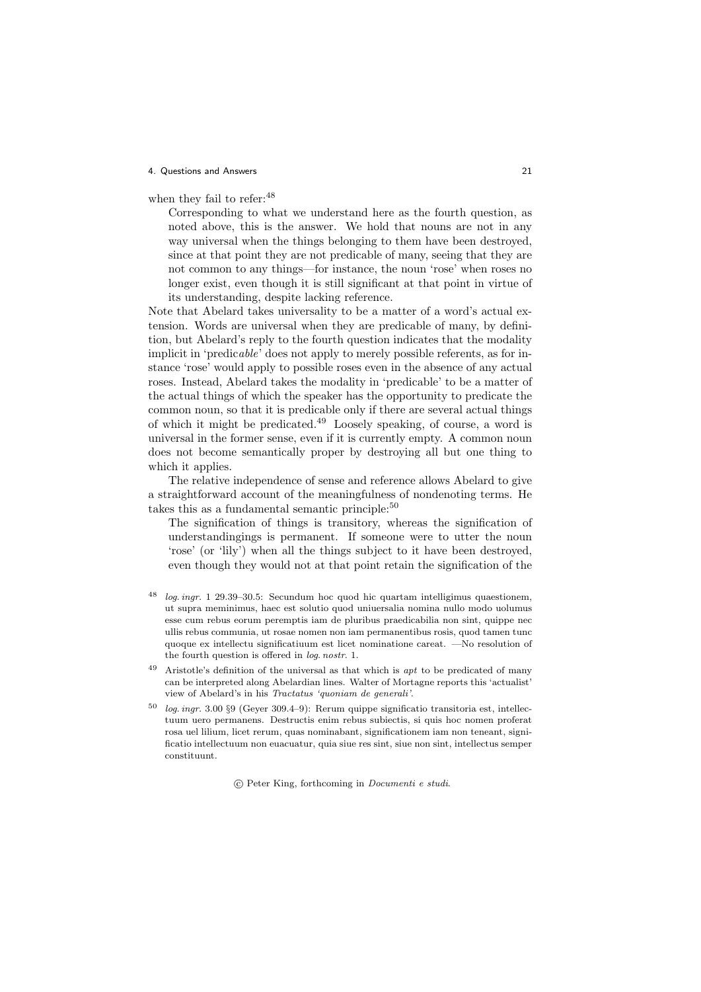when they fail to refer:  $48$ 

Corresponding to what we understand here as the fourth question, as noted above, this is the answer. We hold that nouns are not in any way universal when the things belonging to them have been destroyed, since at that point they are not predicable of many, seeing that they are not common to any things—for instance, the noun 'rose' when roses no longer exist, even though it is still significant at that point in virtue of its understanding, despite lacking reference.

Note that Abelard takes universality to be a matter of a word's actual extension. Words are universal when they are predicable of many, by definition, but Abelard's reply to the fourth question indicates that the modality implicit in 'predicable' does not apply to merely possible referents, as for instance 'rose' would apply to possible roses even in the absence of any actual roses. Instead, Abelard takes the modality in 'predicable' to be a matter of the actual things of which the speaker has the opportunity to predicate the common noun, so that it is predicable only if there are several actual things of which it might be predicated.<sup>49</sup> Loosely speaking, of course, a word is universal in the former sense, even if it is currently empty. A common noun does not become semantically proper by destroying all but one thing to which it applies.

The relative independence of sense and reference allows Abelard to give a straightforward account of the meaningfulness of nondenoting terms. He takes this as a fundamental semantic principle:<sup>50</sup>

The signification of things is transitory, whereas the signification of understandingings is permanent. If someone were to utter the noun 'rose' (or 'lily') when all the things subject to it have been destroyed, even though they would not at that point retain the signification of the

- $log. ingr.$  1 29.39–30.5: Secundum hoc quod hic quartam intelligimus quaestionem, ut supra meminimus, haec est solutio quod uniuersalia nomina nullo modo uolumus esse cum rebus eorum peremptis iam de pluribus praedicabilia non sint, quippe nec ullis rebus communia, ut rosae nomen non iam permanentibus rosis, quod tamen tunc quoque ex intellectu significatiuum est licet nominatione careat. —No resolution of the fourth question is offered in log. nostr. 1.
- <sup>49</sup> Aristotle's definition of the universal as that which is *apt* to be predicated of many can be interpreted along Abelardian lines. Walter of Mortagne reports this 'actualist' view of Abelard's in his Tractatus 'quoniam de generali'.
- log. ingr. 3.00 §9 (Geyer 309.4–9): Rerum quippe significatio transitoria est, intellectuum uero permanens. Destructis enim rebus subiectis, si quis hoc nomen proferat rosa uel lilium, licet rerum, quas nominabant, significationem iam non teneant, significatio intellectuum non euacuatur, quia siue res sint, siue non sint, intellectus semper constituunt.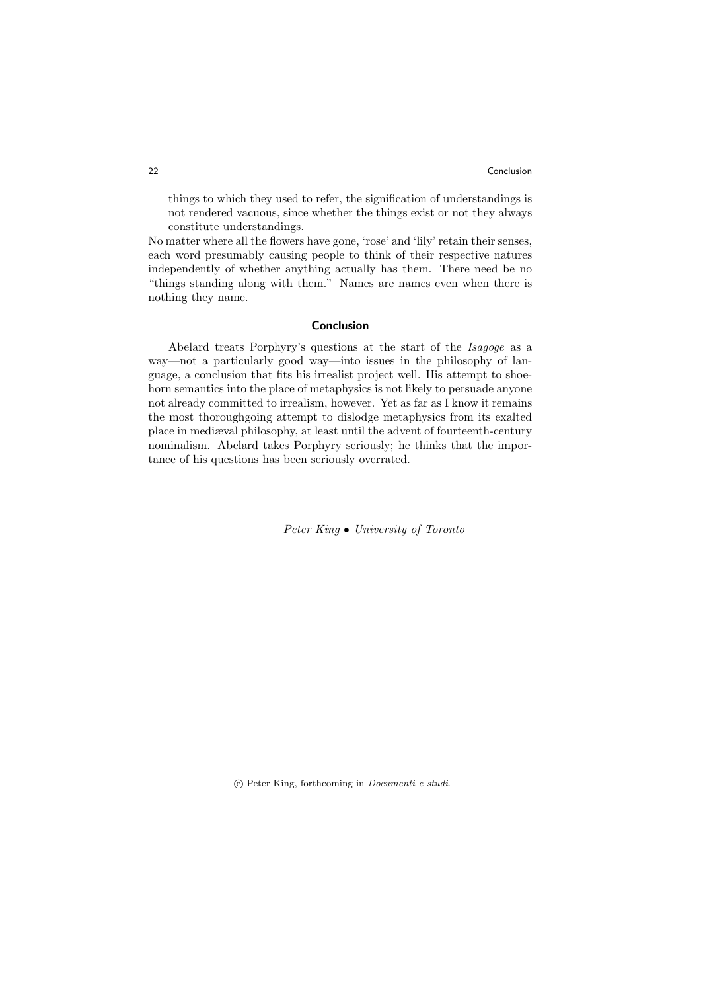things to which they used to refer, the signification of understandings is not rendered vacuous, since whether the things exist or not they always constitute understandings.

No matter where all the flowers have gone, 'rose' and 'lily' retain their senses, each word presumably causing people to think of their respective natures independently of whether anything actually has them. There need be no "things standing along with them." Names are names even when there is nothing they name.

### Conclusion

Abelard treats Porphyry's questions at the start of the Isagoge as a way—not a particularly good way—into issues in the philosophy of language, a conclusion that fits his irrealist project well. His attempt to shoehorn semantics into the place of metaphysics is not likely to persuade anyone not already committed to irrealism, however. Yet as far as I know it remains the most thoroughgoing attempt to dislodge metaphysics from its exalted place in mediæval philosophy, at least until the advent of fourteenth-century nominalism. Abelard takes Porphyry seriously; he thinks that the importance of his questions has been seriously overrated.

Peter King • University of Toronto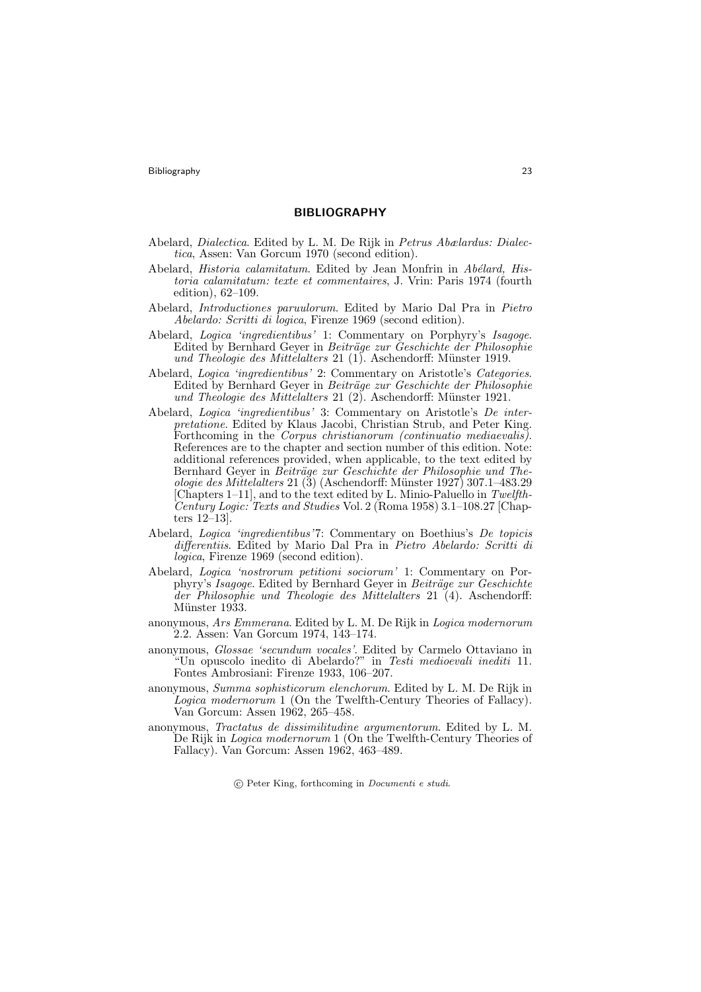Bibliography 23

### BIBLIOGRAPHY

- Abelard, Dialectica. Edited by L. M. De Rijk in Petrus Abælardus: Dialectica, Assen: Van Gorcum 1970 (second edition).
- Abelard, Historia calamitatum. Edited by Jean Monfrin in Abélard, Historia calamitatum: texte et commentaires, J. Vrin: Paris 1974 (fourth edition), 62–109.
- Abelard, Introductiones paruulorum. Edited by Mario Dal Pra in Pietro Abelardo: Scritti di logica, Firenze 1969 (second edition).
- Abelard, Logica 'ingredientibus' 1: Commentary on Porphyry's Isagoge. Edited by Bernhard Geyer in Beiträge zur Geschichte der Philosophie und Theologie des Mittelalters  $21$  (1). Aschendorff: Münster 1919.
- Abelard, Logica 'ingredientibus' 2: Commentary on Aristotle's Categories. Edited by Bernhard Geyer in Beiträge zur Geschichte der Philosophie und Theologie des Mittelalters 21 $(2)$ . Aschendorff: Münster 1921.
- Abelard, Logica 'ingredientibus' 3: Commentary on Aristotle's De interpretatione. Edited by Klaus Jacobi, Christian Strub, and Peter King. Forthcoming in the *Corpus christianorum (continuatio mediaevalis)*. References are to the chapter and section number of this edition. Note: additional references provided, when applicable, to the text edited by Bernhard Geyer in Beiträge zur Geschichte der Philosophie und Theologie des Mittelalters 21 $(3)$  (Aschendorff: Münster 1927) 307.1–483.29 [Chapters 1–11], and to the text edited by L. Minio-Paluello in Twelfth-Century Logic: Texts and Studies Vol. 2 (Roma 1958) 3.1–108.27 [Chapters 12–13].
- Abelard, Logica 'ingredientibus'7: Commentary on Boethius's De topicis differentiis. Edited by Mario Dal Pra in Pietro Abelardo: Scritti di logica, Firenze 1969 (second edition).
- Abelard, Logica 'nostrorum petitioni sociorum' 1: Commentary on Porphyry's Isagoge. Edited by Bernhard Geyer in Beiträge zur Geschichte der Philosophie und Theologie des Mittelalters 21 (4). Aschendorff: Münster 1933.
- anonymous, Ars Emmerana. Edited by L. M. De Rijk in Logica modernorum 2.2. Assen: Van Gorcum 1974, 143–174.
- anonymous, Glossae 'secundum vocales'. Edited by Carmelo Ottaviano in "Un opuscolo inedito di Abelardo?" in Testi medioevali inediti 11. Fontes Ambrosiani: Firenze 1933, 106–207.
- anonymous, Summa sophisticorum elenchorum. Edited by L. M. De Rijk in Logica modernorum 1 (On the Twelfth-Century Theories of Fallacy). Van Gorcum: Assen 1962, 265–458.
- anonymous, Tractatus de dissimilitudine argumentorum. Edited by L. M. De Rijk in Logica modernorum 1 (On the Twelfth-Century Theories of Fallacy). Van Gorcum: Assen 1962, 463–489.